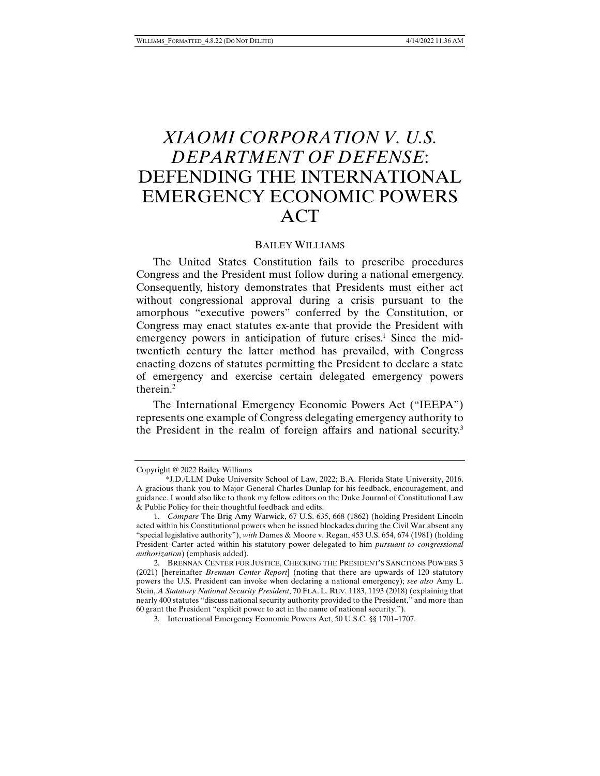# *XIAOMI CORPORATION V. U.S. DEPARTMENT OF DEFENSE*: DEFENDING THE INTERNATIONAL EMERGENCY ECONOMIC POWERS ACT

# BAILEY WILLIAMS

The United States Constitution fails to prescribe procedures Congress and the President must follow during a national emergency. Consequently, history demonstrates that Presidents must either act without congressional approval during a crisis pursuant to the amorphous "executive powers" conferred by the Constitution, or Congress may enact statutes ex-ante that provide the President with emergency powers in anticipation of future crises.<sup>1</sup> Since the midtwentieth century the latter method has prevailed, with Congress enacting dozens of statutes permitting the President to declare a state of emergency and exercise certain delegated emergency powers therein.2

The International Emergency Economic Powers Act ("IEEPA") represents one example of Congress delegating emergency authority to the President in the realm of foreign affairs and national security.<sup>3</sup>

Copyright @ 2022 Bailey Williams

 <sup>\*</sup>J.D./LLM Duke University School of Law, 2022; B.A. Florida State University, 2016. A gracious thank you to Major General Charles Dunlap for his feedback, encouragement, and guidance. I would also like to thank my fellow editors on the Duke Journal of Constitutional Law & Public Policy for their thoughtful feedback and edits.

 <sup>1.</sup> *Compare* The Brig Amy Warwick, 67 U.S. 635, 668 (1862) (holding President Lincoln acted within his Constitutional powers when he issued blockades during the Civil War absent any "special legislative authority"), *with* Dames & Moore v. Regan, 453 U.S. 654, 674 (1981) (holding President Carter acted within his statutory power delegated to him *pursuant to congressional authorization*) (emphasis added).

 <sup>2.</sup> BRENNAN CENTER FOR JUSTICE, CHECKING THE PRESIDENT'S SANCTIONS POWERS 3 (2021) [hereinafter *Brennan Center Report*] (noting that there are upwards of 120 statutory powers the U.S. President can invoke when declaring a national emergency); *see also* Amy L. Stein, *A Statutory National Security President*, 70 FLA. L. REV. 1183, 1193 (2018) (explaining that nearly 400 statutes "discuss national security authority provided to the President," and more than 60 grant the President "explicit power to act in the name of national security.").

 <sup>3.</sup> International Emergency Economic Powers Act, 50 U.S.C. §§ 1701–1707.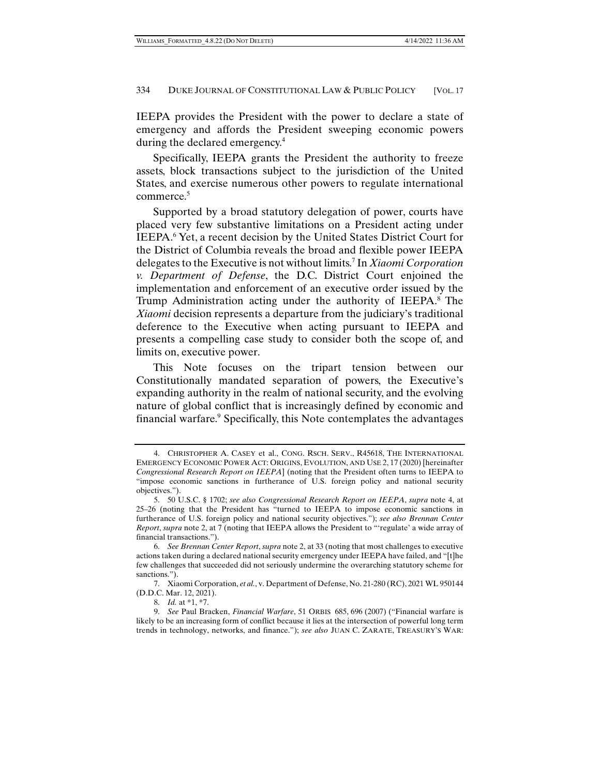IEEPA provides the President with the power to declare a state of emergency and affords the President sweeping economic powers during the declared emergency.4

Specifically, IEEPA grants the President the authority to freeze assets, block transactions subject to the jurisdiction of the United States, and exercise numerous other powers to regulate international commerce.<sup>5</sup>

Supported by a broad statutory delegation of power, courts have placed very few substantive limitations on a President acting under IEEPA.<sup>6</sup> Yet, a recent decision by the United States District Court for the District of Columbia reveals the broad and flexible power IEEPA delegates to the Executive is not without limits.7 In *Xiaomi Corporation v. Department of Defense*, the D.C. District Court enjoined the implementation and enforcement of an executive order issued by the Trump Administration acting under the authority of IEEPA.<sup>8</sup> The *Xiaomi* decision represents a departure from the judiciary's traditional deference to the Executive when acting pursuant to IEEPA and presents a compelling case study to consider both the scope of, and limits on, executive power.

This Note focuses on the tripart tension between our Constitutionally mandated separation of powers, the Executive's expanding authority in the realm of national security, and the evolving nature of global conflict that is increasingly defined by economic and financial warfare.<sup>9</sup> Specifically, this Note contemplates the advantages

 <sup>4.</sup> CHRISTOPHER A. CASEY et al., CONG. RSCH. SERV., R45618, THE INTERNATIONAL EMERGENCY ECONOMIC POWER ACT: ORIGINS, EVOLUTION, AND USE 2, 17 (2020) [hereinafter *Congressional Research Report on IEEPA*] (noting that the President often turns to IEEPA to "impose economic sanctions in furtherance of U.S. foreign policy and national security objectives.").

 <sup>5. 50</sup> U.S.C. § 1702; *see also Congressional Research Report on IEEPA*, *supra* note 4, at 25–26 (noting that the President has "turned to IEEPA to impose economic sanctions in furtherance of U.S. foreign policy and national security objectives."); *see also Brennan Center Report*, *supra* note 2, at 7 (noting that IEEPA allows the President to "'regulate' a wide array of financial transactions.").

 <sup>6.</sup> *See Brennan Center Report*, *supra* note 2, at 33 (noting that most challenges to executive actions taken during a declared national security emergency under IEEPA have failed, and "[t]he few challenges that succeeded did not seriously undermine the overarching statutory scheme for sanctions.").

 <sup>7.</sup> Xiaomi Corporation, *et al.*, v. Department of Defense, No. 21-280 (RC), 2021 WL 950144 (D.D.C. Mar. 12, 2021).

 <sup>8.</sup> *Id.* at \*1, \*7.

 <sup>9.</sup> *See* Paul Bracken, *Financial Warfare*, 51 ORBIS 685, 696 (2007) ("Financial warfare is likely to be an increasing form of conflict because it lies at the intersection of powerful long term trends in technology, networks, and finance."); *see also* JUAN C. ZARATE, TREASURY'S WAR: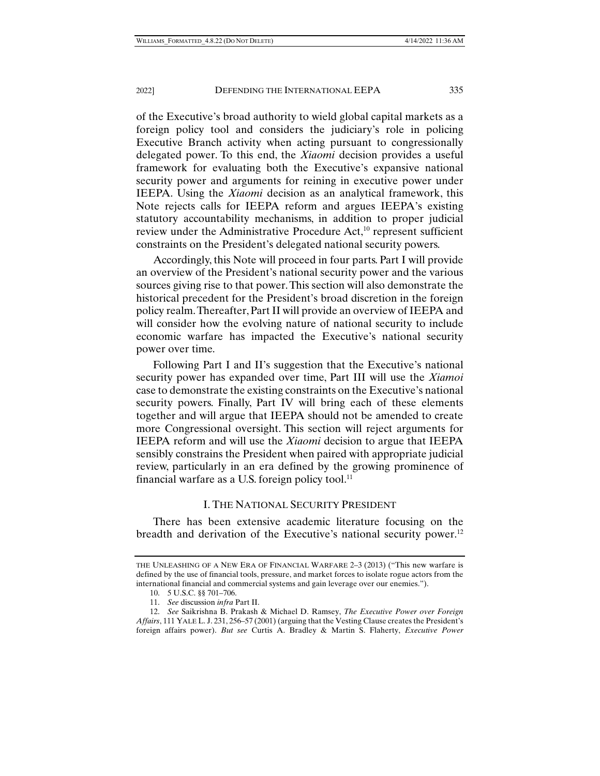of the Executive's broad authority to wield global capital markets as a foreign policy tool and considers the judiciary's role in policing Executive Branch activity when acting pursuant to congressionally delegated power. To this end, the *Xiaomi* decision provides a useful framework for evaluating both the Executive's expansive national security power and arguments for reining in executive power under IEEPA. Using the *Xiaomi* decision as an analytical framework, this Note rejects calls for IEEPA reform and argues IEEPA's existing statutory accountability mechanisms, in addition to proper judicial review under the Administrative Procedure  $Act<sub>10</sub>$  represent sufficient constraints on the President's delegated national security powers.

Accordingly, this Note will proceed in four parts. Part I will provide an overview of the President's national security power and the various sources giving rise to that power. This section will also demonstrate the historical precedent for the President's broad discretion in the foreign policy realm. Thereafter, Part II will provide an overview of IEEPA and will consider how the evolving nature of national security to include economic warfare has impacted the Executive's national security power over time.

Following Part I and II's suggestion that the Executive's national security power has expanded over time, Part III will use the *Xiamoi* case to demonstrate the existing constraints on the Executive's national security powers. Finally, Part IV will bring each of these elements together and will argue that IEEPA should not be amended to create more Congressional oversight. This section will reject arguments for IEEPA reform and will use the *Xiaomi* decision to argue that IEEPA sensibly constrains the President when paired with appropriate judicial review, particularly in an era defined by the growing prominence of financial warfare as a U.S. foreign policy tool. $^{11}$ 

## I. THE NATIONAL SECURITY PRESIDENT

There has been extensive academic literature focusing on the breadth and derivation of the Executive's national security power.<sup>12</sup>

THE UNLEASHING OF A NEW ERA OF FINANCIAL WARFARE 2–3 (2013) ("This new warfare is defined by the use of financial tools, pressure, and market forces to isolate rogue actors from the international financial and commercial systems and gain leverage over our enemies.").

 <sup>10. 5</sup> U.S.C. §§ 701–706.

 <sup>11.</sup> *See* discussion *infra* Part II.

 <sup>12.</sup> *See* Saikrishna B. Prakash & Michael D. Ramsey, *The Executive Power over Foreign Affairs*, 111 YALE L. J. 231, 256–57 (2001) (arguing that the Vesting Clause creates the President's foreign affairs power). *But see* Curtis A. Bradley & Martin S. Flaherty, *Executive Power*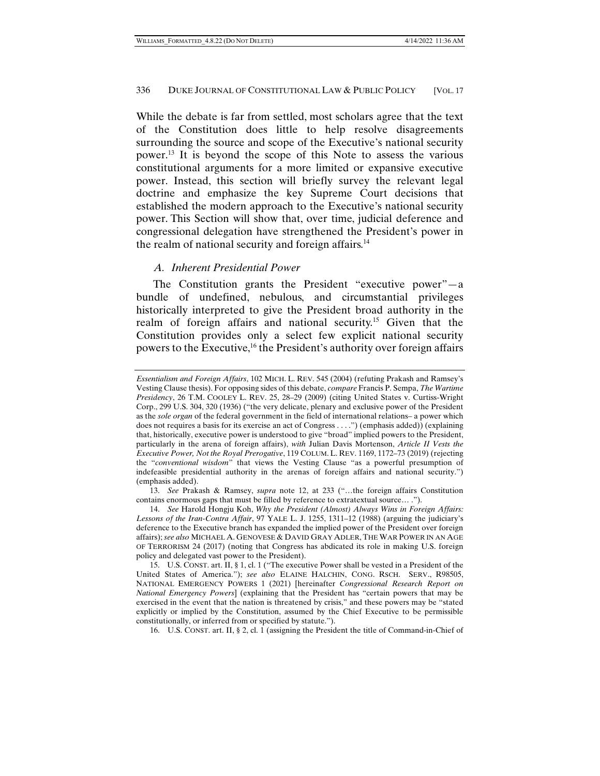While the debate is far from settled, most scholars agree that the text of the Constitution does little to help resolve disagreements surrounding the source and scope of the Executive's national security power.13 It is beyond the scope of this Note to assess the various constitutional arguments for a more limited or expansive executive power. Instead, this section will briefly survey the relevant legal doctrine and emphasize the key Supreme Court decisions that established the modern approach to the Executive's national security power. This Section will show that, over time, judicial deference and congressional delegation have strengthened the President's power in the realm of national security and foreign affairs.<sup>14</sup>

# *A. Inherent Presidential Power*

The Constitution grants the President "executive power"—a bundle of undefined, nebulous, and circumstantial privileges historically interpreted to give the President broad authority in the realm of foreign affairs and national security.15 Given that the Constitution provides only a select few explicit national security powers to the Executive,16 the President's authority over foreign affairs

 13. *See* Prakash & Ramsey, *supra* note 12, at 233 ("…the foreign affairs Constitution contains enormous gaps that must be filled by reference to extratextual source… .").

*Essentialism and Foreign Affairs*, 102 MICH. L. REV. 545 (2004) (refuting Prakash and Ramsey's Vesting Clause thesis). For opposing sides of this debate, *compare* Francis P. Sempa, *The Wartime Presidency*, 26 T.M. COOLEY L. REV. 25, 28–29 (2009) (citing United States v. Curtiss-Wright Corp., 299 U.S. 304, 320 (1936) ("the very delicate, plenary and exclusive power of the President as the *sole organ* of the federal government in the field of international relations– a power which does not requires a basis for its exercise an act of Congress . . . .") (emphasis added)) (explaining that, historically, executive power is understood to give "broad" implied powers to the President, particularly in the arena of foreign affairs), *with* Julian Davis Mortenson, *Article II Vests the Executive Power, Not the Royal Prerogative*, 119 COLUM. L. REV. 1169, 1172–73 (2019) (rejecting the "*conventional wisdom*" that views the Vesting Clause "as a powerful presumption of indefeasible presidential authority in the arenas of foreign affairs and national security.") (emphasis added).

 <sup>14.</sup> *See* Harold Hongju Koh, *Why the President (Almost) Always Wins in Foreign Affairs: Lessons of the Iran-Contra Affair*, 97 YALE L. J. 1255, 1311–12 (1988) (arguing the judiciary's deference to the Executive branch has expanded the implied power of the President over foreign affairs); *see also* MICHAEL A. GENOVESE & DAVID GRAY ADLER, THE WAR POWER IN AN AGE OF TERRORISM 24 (2017) (noting that Congress has abdicated its role in making U.S. foreign policy and delegated vast power to the President).

 <sup>15.</sup> U.S. CONST. art. II, § 1, cl. 1 ("The executive Power shall be vested in a President of the United States of America."); *see also* ELAINE HALCHIN, CONG. RSCH. SERV., R98505, NATIONAL EMERGENCY POWERS 1 (2021) [hereinafter *Congressional Research Report on National Emergency Powers*] (explaining that the President has "certain powers that may be exercised in the event that the nation is threatened by crisis," and these powers may be "stated explicitly or implied by the Constitution, assumed by the Chief Executive to be permissible constitutionally, or inferred from or specified by statute.").

 <sup>16.</sup> U.S. CONST. art. II, § 2, cl. 1 (assigning the President the title of Command-in-Chief of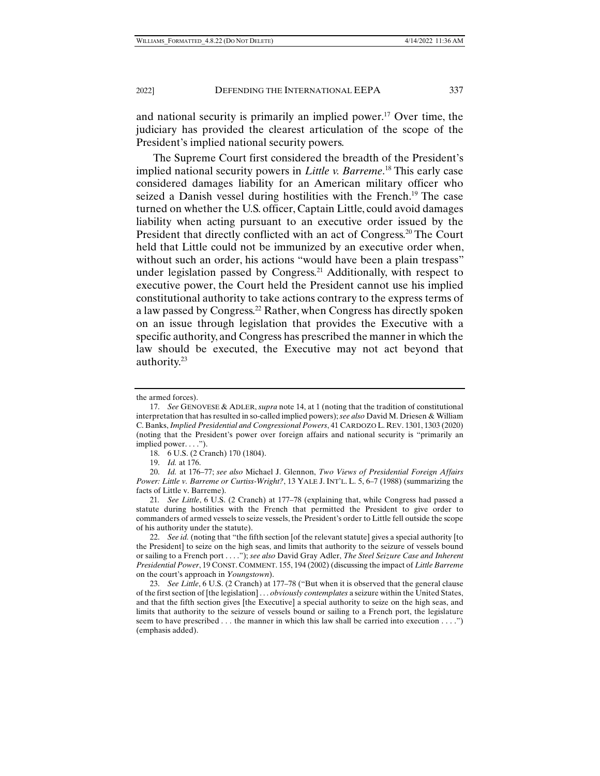and national security is primarily an implied power.<sup>17</sup> Over time, the judiciary has provided the clearest articulation of the scope of the President's implied national security powers.

The Supreme Court first considered the breadth of the President's implied national security powers in *Little v. Barreme*. 18 This early case considered damages liability for an American military officer who seized a Danish vessel during hostilities with the French.<sup>19</sup> The case turned on whether the U.S. officer, Captain Little, could avoid damages liability when acting pursuant to an executive order issued by the President that directly conflicted with an act of Congress.<sup>20</sup> The Court held that Little could not be immunized by an executive order when, without such an order, his actions "would have been a plain trespass" under legislation passed by Congress.<sup>21</sup> Additionally, with respect to executive power, the Court held the President cannot use his implied constitutional authority to take actions contrary to the express terms of a law passed by Congress.22 Rather, when Congress has directly spoken on an issue through legislation that provides the Executive with a specific authority, and Congress has prescribed the manner in which the law should be executed, the Executive may not act beyond that authority.23

the armed forces).

 <sup>17.</sup> *See* GENOVESE & ADLER, *supra* note 14, at 1 (noting that the tradition of constitutional interpretation that has resulted in so-called implied powers); *see also* David M. Driesen & William C. Banks, *Implied Presidential and Congressional Powers*, 41 CARDOZO L. REV. 1301, 1303 (2020) (noting that the President's power over foreign affairs and national security is "primarily an implied power. . . .").

 <sup>18. 6</sup> U.S. (2 Cranch) 170 (1804).

 <sup>19.</sup> *Id.* at 176.

 <sup>20.</sup> *Id.* at 176–77; *see also* Michael J. Glennon, *Two Views of Presidential Foreign Affairs Power: Little v. Barreme or Curtiss-Wright?*, 13 YALE J. INT'L. L. 5, 6–7 (1988) (summarizing the facts of Little v. Barreme).

<sup>21</sup>*. See Little*, 6 U.S. (2 Cranch) at 177–78 (explaining that, while Congress had passed a statute during hostilities with the French that permitted the President to give order to commanders of armed vessels to seize vessels, the President's order to Little fell outside the scope of his authority under the statute).

 <sup>22.</sup> *See id.* (noting that "the fifth section [of the relevant statute] gives a special authority [to the President] to seize on the high seas, and limits that authority to the seizure of vessels bound or sailing to a French port . . . ."); *see also* David Gray Adler, *The Steel Seizure Case and Inherent Presidential Power*, 19 CONST. COMMENT. 155, 194 (2002) (discussing the impact of *Little Barreme* on the court's approach in *Youngstown*).

 <sup>23.</sup> *See Little*, 6 U.S. (2 Cranch) at 177–78 ("But when it is observed that the general clause of the first section of [the legislation] . . . *obviously contemplates* a seizure within the United States, and that the fifth section gives [the Executive] a special authority to seize on the high seas, and limits that authority to the seizure of vessels bound or sailing to a French port, the legislature seem to have prescribed *. . .* the manner in which this law shall be carried into execution . . . .") (emphasis added).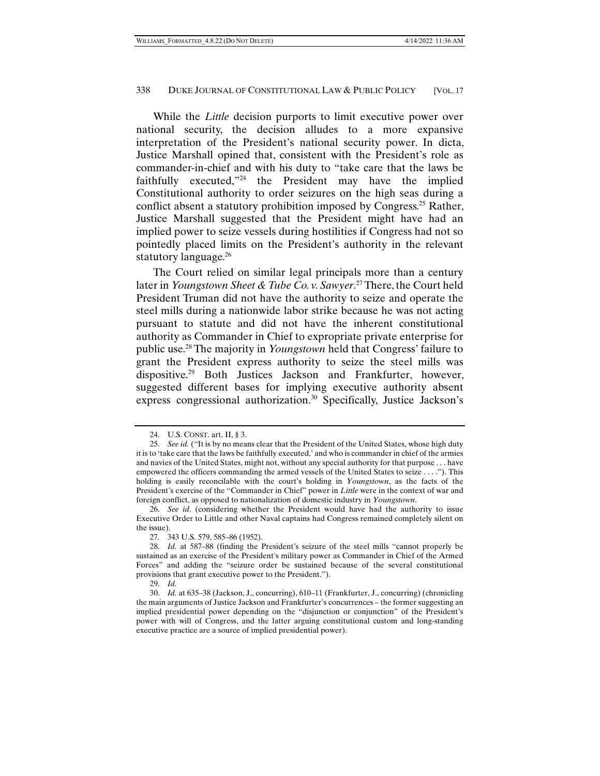While the *Little* decision purports to limit executive power over national security, the decision alludes to a more expansive interpretation of the President's national security power. In dicta, Justice Marshall opined that, consistent with the President's role as commander-in-chief and with his duty to "take care that the laws be faithfully executed,"24 the President may have the implied Constitutional authority to order seizures on the high seas during a conflict absent a statutory prohibition imposed by Congress.<sup>25</sup> Rather, Justice Marshall suggested that the President might have had an implied power to seize vessels during hostilities if Congress had not so pointedly placed limits on the President's authority in the relevant statutory language.<sup>26</sup>

The Court relied on similar legal principals more than a century later in *Youngstown Sheet & Tube Co. v. Sawyer*. 27 There, the Court held President Truman did not have the authority to seize and operate the steel mills during a nationwide labor strike because he was not acting pursuant to statute and did not have the inherent constitutional authority as Commander in Chief to expropriate private enterprise for public use.28 The majority in *Youngstown* held that Congress' failure to grant the President express authority to seize the steel mills was dispositive.29 Both Justices Jackson and Frankfurter, however, suggested different bases for implying executive authority absent express congressional authorization.<sup>30</sup> Specifically, Justice Jackson's

 <sup>24.</sup> U.S. CONST. art. II, § 3.

 <sup>25.</sup> *See id.* ("It is by no means clear that the President of the United States, whose high duty it is to 'take care that the laws be faithfully executed,' and who is commander in chief of the armies and navies of the United States, might not, without any special authority for that purpose . . . have empowered the officers commanding the armed vessels of the United States to seize . . . ."). This holding is easily reconcilable with the court's holding in *Youngstown*, as the facts of the President's exercise of the "Commander in Chief" power in *Little* were in the context of war and foreign conflict, as opposed to nationalization of domestic industry in *Youngstown*.

 <sup>26.</sup> *See id*. (considering whether the President would have had the authority to issue Executive Order to Little and other Naval captains had Congress remained completely silent on the issue).

<sup>27</sup>*.* 343 U.S. 579, 585–86 (1952).

 <sup>28.</sup> *Id.* at 587–88 (finding the President's seizure of the steel mills "cannot properly be sustained as an exercise of the President's military power as Commander in Chief of the Armed Forces" and adding the "seizure order be sustained because of the several constitutional provisions that grant executive power to the President.").

 <sup>29.</sup> *Id.*

 <sup>30.</sup> *Id.* at 635–38 (Jackson, J., concurring), 610–11 (Frankfurter, J., concurring) (chronicling the main arguments of Justice Jackson and Frankfurter's concurrences – the former suggesting an implied presidential power depending on the "disjunction or conjunction" of the President's power with will of Congress, and the latter arguing constitutional custom and long-standing executive practice are a source of implied presidential power).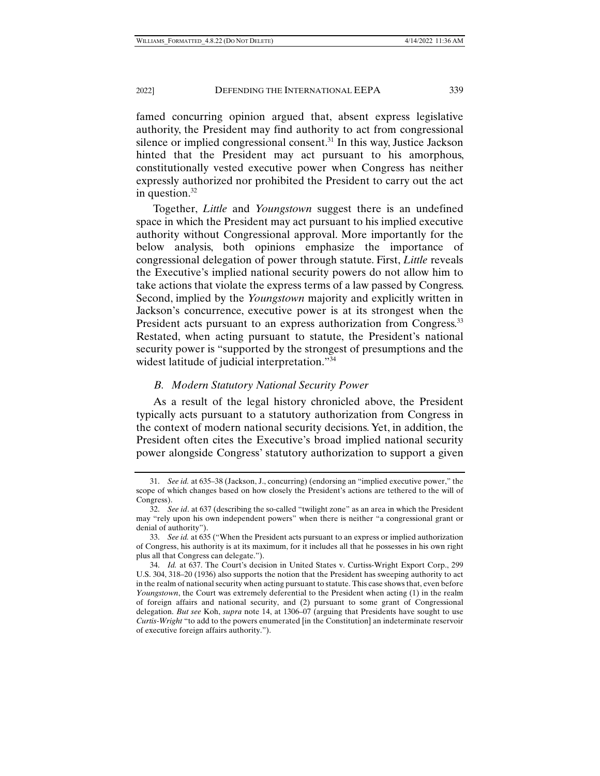famed concurring opinion argued that, absent express legislative authority, the President may find authority to act from congressional silence or implied congressional consent.31 In this way, Justice Jackson hinted that the President may act pursuant to his amorphous, constitutionally vested executive power when Congress has neither expressly authorized nor prohibited the President to carry out the act in question. $32$ 

Together, *Little* and *Youngstown* suggest there is an undefined space in which the President may act pursuant to his implied executive authority without Congressional approval. More importantly for the below analysis, both opinions emphasize the importance of congressional delegation of power through statute. First, *Little* reveals the Executive's implied national security powers do not allow him to take actions that violate the express terms of a law passed by Congress. Second, implied by the *Youngstown* majority and explicitly written in Jackson's concurrence, executive power is at its strongest when the President acts pursuant to an express authorization from Congress.<sup>33</sup> Restated, when acting pursuant to statute, the President's national security power is "supported by the strongest of presumptions and the widest latitude of judicial interpretation."34

# *B. Modern Statutory National Security Power*

As a result of the legal history chronicled above, the President typically acts pursuant to a statutory authorization from Congress in the context of modern national security decisions. Yet, in addition, the President often cites the Executive's broad implied national security power alongside Congress' statutory authorization to support a given

 <sup>31.</sup> *See id.* at 635–38 (Jackson, J., concurring) (endorsing an "implied executive power," the scope of which changes based on how closely the President's actions are tethered to the will of Congress).

 <sup>32.</sup> *See id*. at 637 (describing the so-called "twilight zone" as an area in which the President may "rely upon his own independent powers" when there is neither "a congressional grant or denial of authority").

 <sup>33.</sup> *See id.* at 635 ("When the President acts pursuant to an express or implied authorization of Congress, his authority is at its maximum, for it includes all that he possesses in his own right plus all that Congress can delegate.").

 <sup>34.</sup> *Id.* at 637. The Court's decision in United States v. Curtiss-Wright Export Corp., 299 U.S. 304, 318–20 (1936) also supports the notion that the President has sweeping authority to act in the realm of national security when acting pursuant to statute. This case shows that, even before *Youngstown*, the Court was extremely deferential to the President when acting (1) in the realm of foreign affairs and national security, and (2) pursuant to some grant of Congressional delegation. *But see* Koh, *supra* note 14, at 1306–07 (arguing that Presidents have sought to use *Curtis-Wright* "to add to the powers enumerated [in the Constitution] an indeterminate reservoir of executive foreign affairs authority.").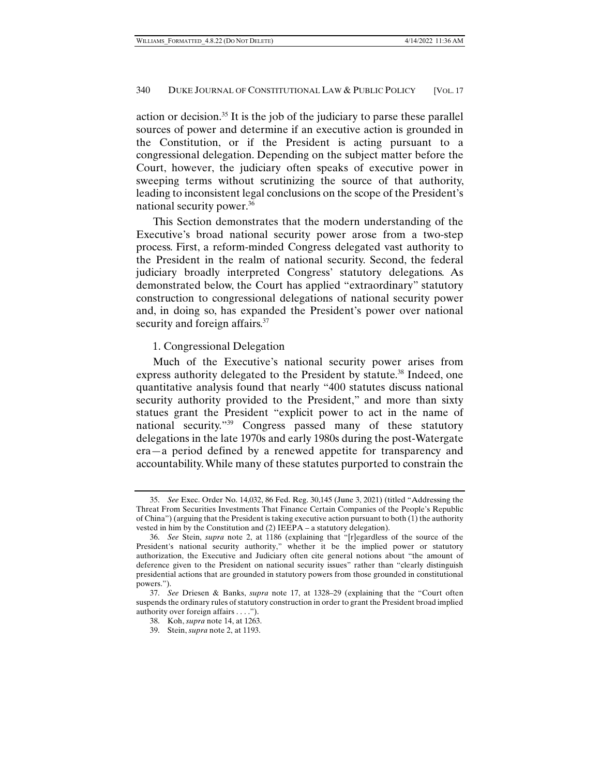action or decision.35 It is the job of the judiciary to parse these parallel sources of power and determine if an executive action is grounded in the Constitution, or if the President is acting pursuant to a congressional delegation. Depending on the subject matter before the Court, however, the judiciary often speaks of executive power in sweeping terms without scrutinizing the source of that authority, leading to inconsistent legal conclusions on the scope of the President's national security power.36

This Section demonstrates that the modern understanding of the Executive's broad national security power arose from a two-step process. First, a reform-minded Congress delegated vast authority to the President in the realm of national security. Second, the federal judiciary broadly interpreted Congress' statutory delegations. As demonstrated below, the Court has applied "extraordinary" statutory construction to congressional delegations of national security power and, in doing so, has expanded the President's power over national security and foreign affairs.<sup>37</sup>

# 1. Congressional Delegation

Much of the Executive's national security power arises from express authority delegated to the President by statute.<sup>38</sup> Indeed, one quantitative analysis found that nearly "400 statutes discuss national security authority provided to the President," and more than sixty statues grant the President "explicit power to act in the name of national security."39 Congress passed many of these statutory delegations in the late 1970s and early 1980s during the post-Watergate era—a period defined by a renewed appetite for transparency and accountability. While many of these statutes purported to constrain the

 <sup>35.</sup> *See* Exec. Order No. 14,032, 86 Fed. Reg. 30,145 (June 3, 2021) (titled "Addressing the Threat From Securities Investments That Finance Certain Companies of the People's Republic of China") (arguing that the President is taking executive action pursuant to both (1) the authority vested in him by the Constitution and (2) IEEPA – a statutory delegation).

 <sup>36.</sup> *See* Stein, *supra* note 2, at 1186 (explaining that "[r]egardless of the source of the President's national security authority," whether it be the implied power or statutory authorization, the Executive and Judiciary often cite general notions about "the amount of deference given to the President on national security issues" rather than "clearly distinguish presidential actions that are grounded in statutory powers from those grounded in constitutional powers.").

 <sup>37.</sup> *See* Driesen & Banks, *supra* note 17, at 1328–29 (explaining that the "Court often suspends the ordinary rules of statutory construction in order to grant the President broad implied authority over foreign affairs . . . .").

 <sup>38.</sup> Koh, *supra* note 14, at 1263.

 <sup>39.</sup> Stein, *supra* note 2, at 1193.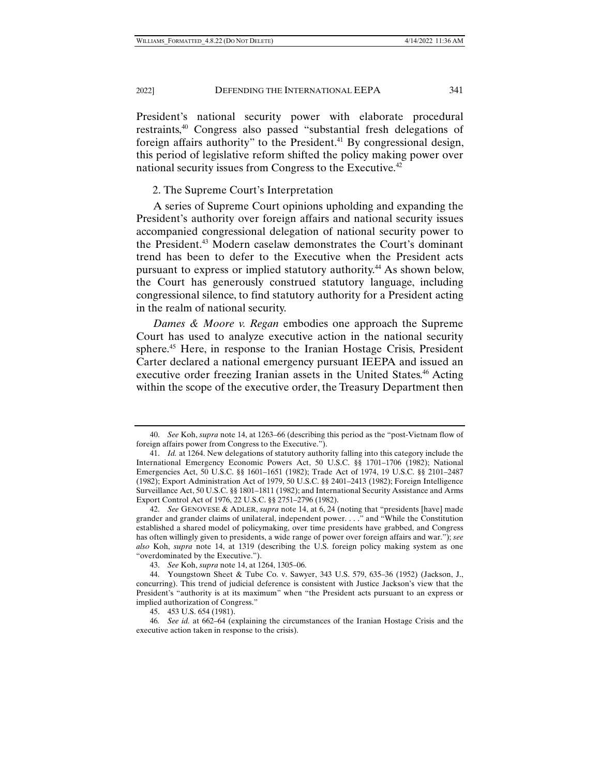President's national security power with elaborate procedural restraints,40 Congress also passed "substantial fresh delegations of foreign affairs authority" to the President.<sup>41</sup> By congressional design, this period of legislative reform shifted the policy making power over national security issues from Congress to the Executive.<sup>42</sup>

## 2. The Supreme Court's Interpretation

A series of Supreme Court opinions upholding and expanding the President's authority over foreign affairs and national security issues accompanied congressional delegation of national security power to the President.43 Modern caselaw demonstrates the Court's dominant trend has been to defer to the Executive when the President acts pursuant to express or implied statutory authority.44 As shown below, the Court has generously construed statutory language, including congressional silence, to find statutory authority for a President acting in the realm of national security.

*Dames & Moore v. Regan* embodies one approach the Supreme Court has used to analyze executive action in the national security sphere.45 Here, in response to the Iranian Hostage Crisis, President Carter declared a national emergency pursuant IEEPA and issued an executive order freezing Iranian assets in the United States.<sup>46</sup> Acting within the scope of the executive order, the Treasury Department then

 <sup>40.</sup> *See* Koh, *supra* note 14, at 1263–66 (describing this period as the "post-Vietnam flow of foreign affairs power from Congress to the Executive.").

 <sup>41.</sup> *Id.* at 1264. New delegations of statutory authority falling into this category include the International Emergency Economic Powers Act, 50 U.S.C. §§ 1701–1706 (1982); National Emergencies Act, 50 U.S.C. §§ 1601–1651 (1982); Trade Act of 1974, 19 U.S.C. §§ 2101–2487 (1982); Export Administration Act of 1979, 50 U.S.C. §§ 2401–2413 (1982); Foreign Intelligence Surveillance Act, 50 U.S.C. §§ 1801–1811 (1982); and International Security Assistance and Arms Export Control Act of 1976, 22 U.S.C. §§ 2751–2796 (1982).

 <sup>42.</sup> *See* GENOVESE & ADLER, *supra* note 14, at 6, 24 (noting that "presidents [have] made grander and grander claims of unilateral, independent power. . . ." and "While the Constitution established a shared model of policymaking, over time presidents have grabbed, and Congress has often willingly given to presidents, a wide range of power over foreign affairs and war."); *see also* Koh, *supra* note 14, at 1319 (describing the U.S. foreign policy making system as one "overdominated by the Executive.").

 <sup>43.</sup> *See* Koh, *supra* note 14, at 1264, 1305–06.

 <sup>44.</sup> Youngstown Sheet & Tube Co. v. Sawyer, 343 U.S. 579, 635–36 (1952) (Jackson, J., concurring). This trend of judicial deference is consistent with Justice Jackson's view that the President's "authority is at its maximum" when "the President acts pursuant to an express or implied authorization of Congress."

 <sup>45. 453</sup> U.S. 654 (1981).

<sup>46</sup>*. See id.* at 662–64 (explaining the circumstances of the Iranian Hostage Crisis and the executive action taken in response to the crisis).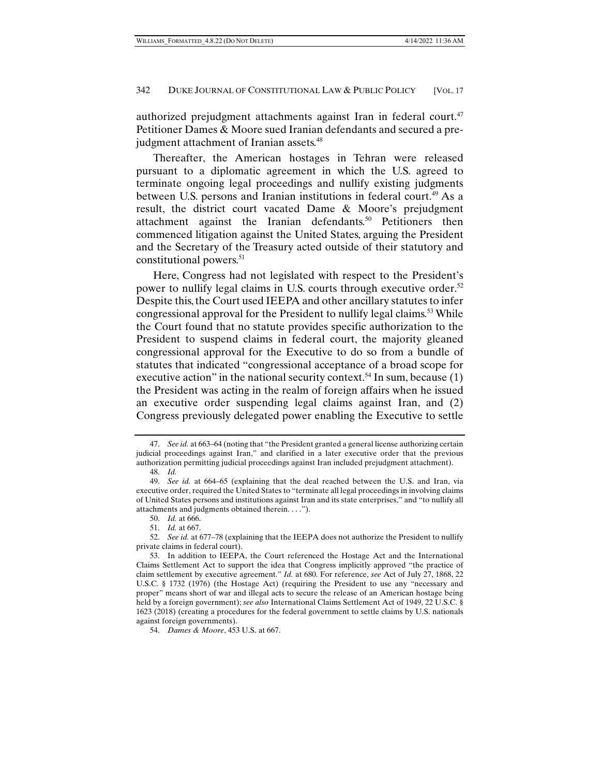authorized prejudgment attachments against Iran in federal court.<sup>47</sup> Petitioner Dames & Moore sued Iranian defendants and secured a prejudgment attachment of Iranian assets.<sup>48</sup>

Thereafter, the American hostages in Tehran were released pursuant to a diplomatic agreement in which the U.S. agreed to terminate ongoing legal proceedings and nullify existing judgments between U.S. persons and Iranian institutions in federal court.<sup>49</sup> As a result, the district court vacated Dame & Moore's prejudgment attachment against the Iranian defendants.<sup>50</sup> Petitioners then commenced litigation against the United States, arguing the President and the Secretary of the Treasury acted outside of their statutory and constitutional powers.51

Here, Congress had not legislated with respect to the President's power to nullify legal claims in U.S. courts through executive order.<sup>52</sup> Despite this, the Court used IEEPA and other ancillary statutes to infer congressional approval for the President to nullify legal claims.<sup>53</sup> While the Court found that no statute provides specific authorization to the President to suspend claims in federal court, the majority gleaned congressional approval for the Executive to do so from a bundle of statutes that indicated "congressional acceptance of a broad scope for executive action" in the national security context.<sup>54</sup> In sum, because  $(1)$ the President was acting in the realm of foreign affairs when he issued an executive order suspending legal claims against Iran, and (2) Congress previously delegated power enabling the Executive to settle

 <sup>47.</sup> *See id.* at 663–64 (noting that "the President granted a general license authorizing certain judicial proceedings against Iran," and clarified in a later executive order that the previous authorization permitting judicial proceedings against Iran included prejudgment attachment).

 <sup>48.</sup> *Id.*

 <sup>49.</sup> *See id.* at 664–65 (explaining that the deal reached between the U.S. and Iran, via executive order, required the United States to "terminate all legal proceedings in involving claims of United States persons and institutions against Iran and its state enterprises," and "to nullify all attachments and judgments obtained therein. . . .").

 <sup>50.</sup> *Id.* at 666.

 <sup>51.</sup> *Id.* at 667.

 <sup>52.</sup> *See id.* at 677–78 (explaining that the IEEPA does not authorize the President to nullify private claims in federal court).

 <sup>53.</sup> In addition to IEEPA, the Court referenced the Hostage Act and the International Claims Settlement Act to support the idea that Congress implicitly approved "the practice of claim settlement by executive agreement." *Id.* at 680. For reference, *see* Act of July 27, 1868, 22 U.S.C. § 1732 (1976) (the Hostage Act) (requiring the President to use any "necessary and proper" means short of war and illegal acts to secure the release of an American hostage being held by a foreign government); *see also* International Claims Settlement Act of 1949, 22 U.S.C. § 1623 (2018) (creating a procedures for the federal government to settle claims by U.S. nationals against foreign governments).

 <sup>54.</sup> *Dames & Moore*, 453 U.S. at 667.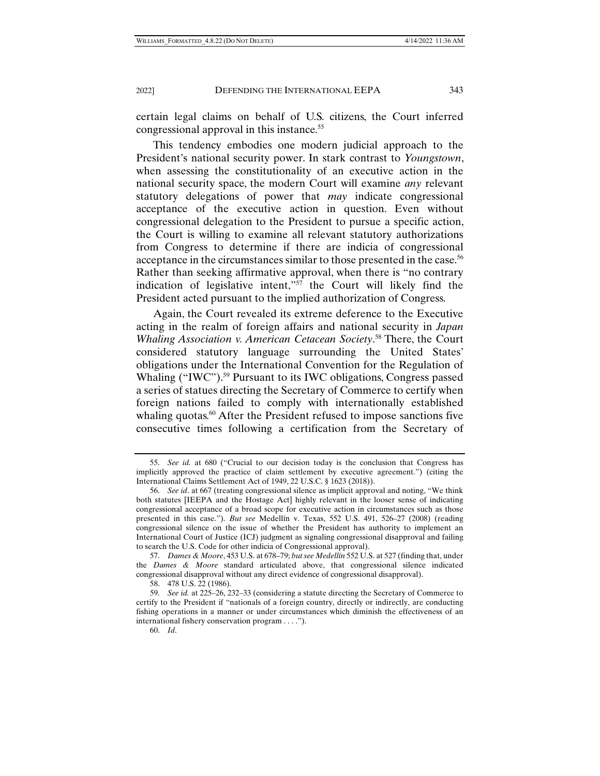certain legal claims on behalf of U.S. citizens, the Court inferred congressional approval in this instance.<sup>55</sup>

This tendency embodies one modern judicial approach to the President's national security power. In stark contrast to *Youngstown*, when assessing the constitutionality of an executive action in the national security space, the modern Court will examine *any* relevant statutory delegations of power that *may* indicate congressional acceptance of the executive action in question. Even without congressional delegation to the President to pursue a specific action, the Court is willing to examine all relevant statutory authorizations from Congress to determine if there are indicia of congressional acceptance in the circumstances similar to those presented in the case.<sup>56</sup> Rather than seeking affirmative approval, when there is "no contrary indication of legislative intent,"57 the Court will likely find the President acted pursuant to the implied authorization of Congress.

Again, the Court revealed its extreme deference to the Executive acting in the realm of foreign affairs and national security in *Japan Whaling Association v. American Cetacean Society*. 58 There, the Court considered statutory language surrounding the United States' obligations under the International Convention for the Regulation of Whaling ("IWC").<sup>59</sup> Pursuant to its IWC obligations, Congress passed a series of statues directing the Secretary of Commerce to certify when foreign nations failed to comply with internationally established whaling quotas.<sup>60</sup> After the President refused to impose sanctions five consecutive times following a certification from the Secretary of

 <sup>55.</sup> *See id.* at 680 ("Crucial to our decision today is the conclusion that Congress has implicitly approved the practice of claim settlement by executive agreement.") (citing the International Claims Settlement Act of 1949, 22 U.S.C. § 1623 (2018)).

 <sup>56.</sup> *See id*. at 667 (treating congressional silence as implicit approval and noting, "We think both statutes [IEEPA and the Hostage Act] highly relevant in the looser sense of indicating congressional acceptance of a broad scope for executive action in circumstances such as those presented in this case."). *But see* Medellín v. Texas, 552 U.S. 491, 526–27 (2008) (reading congressional silence on the issue of whether the President has authority to implement an International Court of Justice (ICJ) judgment as signaling congressional disapproval and failing to search the U.S. Code for other indicia of Congressional approval).

 <sup>57.</sup> *Dames & Moore*, 453 U.S. at 678–79; *but see Medellín* 552 U.S. at 527 (finding that, under the *Dames & Moore* standard articulated above, that congressional silence indicated congressional disapproval without any direct evidence of congressional disapproval).

 <sup>58. 478</sup> U.S. 22 (1986).

 <sup>59.</sup> *See id.* at 225–26, 232–33 (considering a statute directing the Secretary of Commerce to certify to the President if "nationals of a foreign country, directly or indirectly, are conducting fishing operations in a manner or under circumstances which diminish the effectiveness of an international fishery conservation program . . . .").

 <sup>60.</sup> *Id*.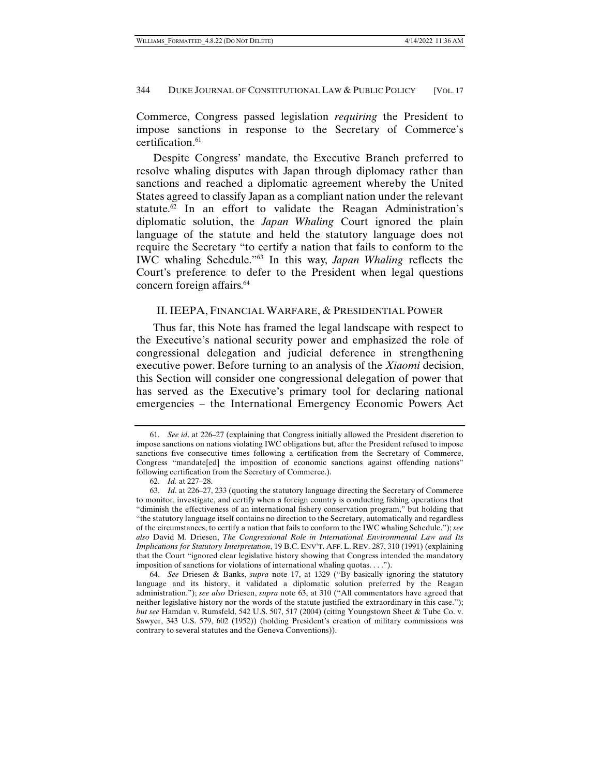Commerce, Congress passed legislation *requiring* the President to impose sanctions in response to the Secretary of Commerce's certification.<sup>61</sup>

Despite Congress' mandate, the Executive Branch preferred to resolve whaling disputes with Japan through diplomacy rather than sanctions and reached a diplomatic agreement whereby the United States agreed to classify Japan as a compliant nation under the relevant statute.<sup>62</sup> In an effort to validate the Reagan Administration's diplomatic solution, the *Japan Whaling* Court ignored the plain language of the statute and held the statutory language does not require the Secretary "to certify a nation that fails to conform to the IWC whaling Schedule."63 In this way, *Japan Whaling* reflects the Court's preference to defer to the President when legal questions concern foreign affairs.64

# II. IEEPA, FINANCIAL WARFARE, & PRESIDENTIAL POWER

Thus far, this Note has framed the legal landscape with respect to the Executive's national security power and emphasized the role of congressional delegation and judicial deference in strengthening executive power. Before turning to an analysis of the *Xiaomi* decision, this Section will consider one congressional delegation of power that has served as the Executive's primary tool for declaring national emergencies – the International Emergency Economic Powers Act

 <sup>61.</sup> *See id*. at 226–27 (explaining that Congress initially allowed the President discretion to impose sanctions on nations violating IWC obligations but, after the President refused to impose sanctions five consecutive times following a certification from the Secretary of Commerce, Congress "mandate[ed] the imposition of economic sanctions against offending nations" following certification from the Secretary of Commerce.).

 <sup>62.</sup> *Id.* at 227–28.

 <sup>63.</sup> *Id*. at 226–27, 233 (quoting the statutory language directing the Secretary of Commerce to monitor, investigate, and certify when a foreign country is conducting fishing operations that "diminish the effectiveness of an international fishery conservation program," but holding that "the statutory language itself contains no direction to the Secretary, automatically and regardless of the circumstances, to certify a nation that fails to conform to the IWC whaling Schedule."); *see also* David M. Driesen, *The Congressional Role in International Environmental Law and Its Implications for Statutory Interpretation*, 19 B.C. ENV'T. AFF. L. REV. 287, 310 (1991) (explaining that the Court "ignored clear legislative history showing that Congress intended the mandatory imposition of sanctions for violations of international whaling quotas. . . .").

 <sup>64.</sup> *See* Driesen & Banks, *supra* note 17, at 1329 ("By basically ignoring the statutory language and its history, it validated a diplomatic solution preferred by the Reagan administration."); *see also* Driesen, *supra* note 63, at 310 ("All commentators have agreed that neither legislative history nor the words of the statute justified the extraordinary in this case."); *but see* Hamdan v. Rumsfeld, 542 U.S. 507, 517 (2004) (citing Youngstown Sheet & Tube Co. v. Sawyer, 343 U.S. 579, 602 (1952)) (holding President's creation of military commissions was contrary to several statutes and the Geneva Conventions)).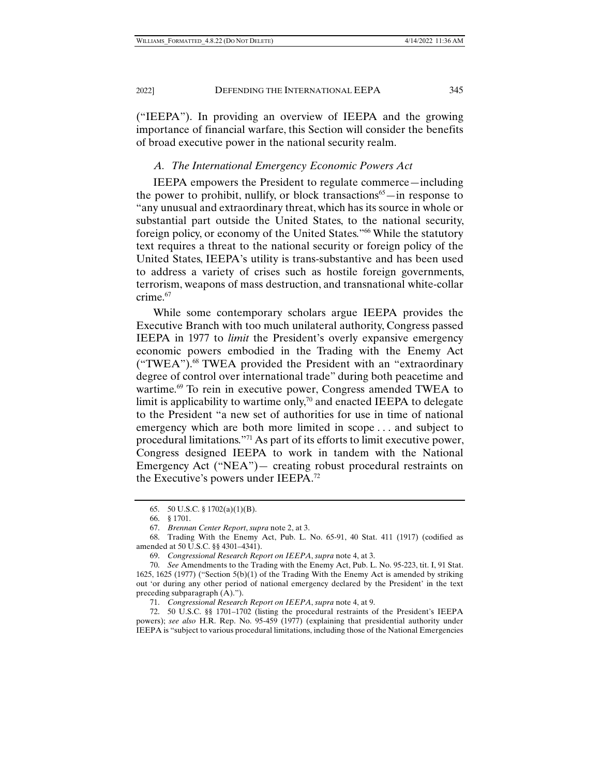("IEEPA"). In providing an overview of IEEPA and the growing importance of financial warfare, this Section will consider the benefits of broad executive power in the national security realm.

# *A. The International Emergency Economic Powers Act*

IEEPA empowers the President to regulate commerce—including the power to prohibit, nullify, or block transactions<sup>65</sup>—in response to "any unusual and extraordinary threat, which has its source in whole or substantial part outside the United States, to the national security, foreign policy, or economy of the United States."66 While the statutory text requires a threat to the national security or foreign policy of the United States, IEEPA's utility is trans-substantive and has been used to address a variety of crises such as hostile foreign governments, terrorism, weapons of mass destruction, and transnational white-collar crime.<sup>67</sup>

While some contemporary scholars argue IEEPA provides the Executive Branch with too much unilateral authority, Congress passed IEEPA in 1977 to *limit* the President's overly expansive emergency economic powers embodied in the Trading with the Enemy Act ("TWEA").68 TWEA provided the President with an "extraordinary degree of control over international trade" during both peacetime and wartime.<sup>69</sup> To rein in executive power, Congress amended TWEA to limit is applicability to wartime only,<sup>70</sup> and enacted IEEPA to delegate to the President "a new set of authorities for use in time of national emergency which are both more limited in scope . . . and subject to procedural limitations."71 As part of its efforts to limit executive power, Congress designed IEEPA to work in tandem with the National Emergency Act ("NEA")— creating robust procedural restraints on the Executive's powers under IEEPA.72

 <sup>65. 50</sup> U.S.C. § 1702(a)(1)(B).

 <sup>66. § 1701.</sup> 

 <sup>67.</sup> *Brennan Center Report*, *supra* note 2, at 3.

 <sup>68.</sup> Trading With the Enemy Act, Pub. L. No. 65-91, 40 Stat. 411 (1917) (codified as amended at 50 U.S.C. §§ 4301–4341).

 <sup>69.</sup> *Congressional Research Report on IEEPA*, *supra* note 4, at 3.

 <sup>70.</sup> *See* Amendments to the Trading with the Enemy Act, Pub. L. No. 95-223, tit. I, 91 Stat. 1625, 1625 (1977) ("Section 5(b)(1) of the Trading With the Enemy Act is amended by striking out 'or during any other period of national emergency declared by the President' in the text preceding subparagraph (A).").

 <sup>71.</sup> *Congressional Research Report on IEEPA*, *supra* note 4, at 9.

 <sup>72. 50</sup> U.S.C. §§ 1701–1702 (listing the procedural restraints of the President's IEEPA powers); *see also* H.R. Rep. No. 95-459 (1977) (explaining that presidential authority under IEEPA is "subject to various procedural limitations, including those of the National Emergencies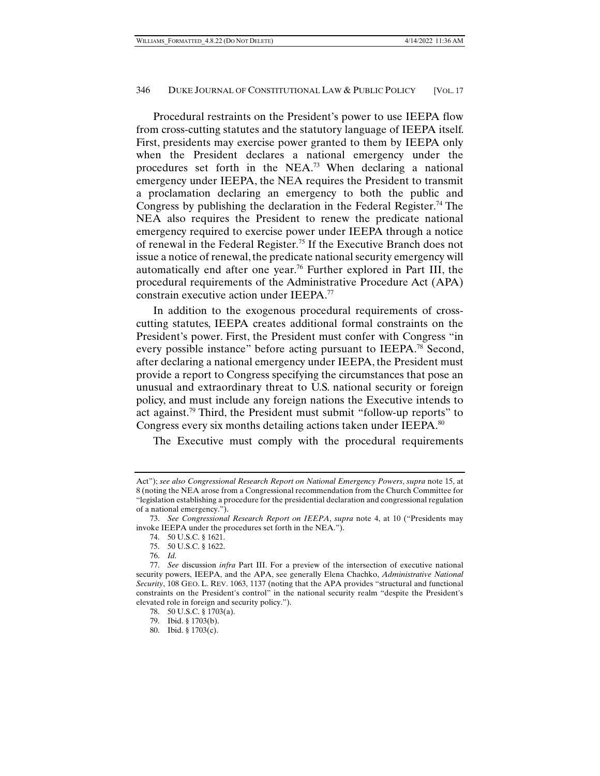Procedural restraints on the President's power to use IEEPA flow from cross-cutting statutes and the statutory language of IEEPA itself. First, presidents may exercise power granted to them by IEEPA only when the President declares a national emergency under the procedures set forth in the NEA.73 When declaring a national emergency under IEEPA, the NEA requires the President to transmit a proclamation declaring an emergency to both the public and Congress by publishing the declaration in the Federal Register.<sup>74</sup> The NEA also requires the President to renew the predicate national emergency required to exercise power under IEEPA through a notice of renewal in the Federal Register.75 If the Executive Branch does not issue a notice of renewal, the predicate national security emergency will automatically end after one year.76 Further explored in Part III, the procedural requirements of the Administrative Procedure Act (APA) constrain executive action under IEEPA.77

In addition to the exogenous procedural requirements of crosscutting statutes, IEEPA creates additional formal constraints on the President's power. First, the President must confer with Congress "in every possible instance" before acting pursuant to IEEPA.78 Second, after declaring a national emergency under IEEPA, the President must provide a report to Congress specifying the circumstances that pose an unusual and extraordinary threat to U.S. national security or foreign policy, and must include any foreign nations the Executive intends to act against.79 Third, the President must submit "follow-up reports" to Congress every six months detailing actions taken under IEEPA.<sup>80</sup>

The Executive must comply with the procedural requirements

Act"); *see also Congressional Research Report on National Emergency Powers*, *supra* note 15, at 8 (noting the NEA arose from a Congressional recommendation from the Church Committee for "legislation establishing a procedure for the presidential declaration and congressional regulation of a national emergency.").

 <sup>73.</sup> *See Congressional Research Report on IEEPA*, *supra* note 4, at 10 ("Presidents may invoke IEEPA under the procedures set forth in the NEA.").

 <sup>74. 50</sup> U.S.C. § 1621.

 <sup>75. 50</sup> U.S.C. § 1622.

 <sup>76.</sup> *Id.* 

 <sup>77.</sup> *See* discussion *infra* Part III. For a preview of the intersection of executive national security powers, IEEPA, and the APA, see generally Elena Chachko, *Administrative National Security*, 108 GEO. L. REV. 1063, 1137 (noting that the APA provides "structural and functional constraints on the President's control" in the national security realm "despite the President's elevated role in foreign and security policy.").

 <sup>78. 50</sup> U.S.C. § 1703(a).

 <sup>79.</sup> Ibid. § 1703(b).

 <sup>80.</sup> Ibid. § 1703(c).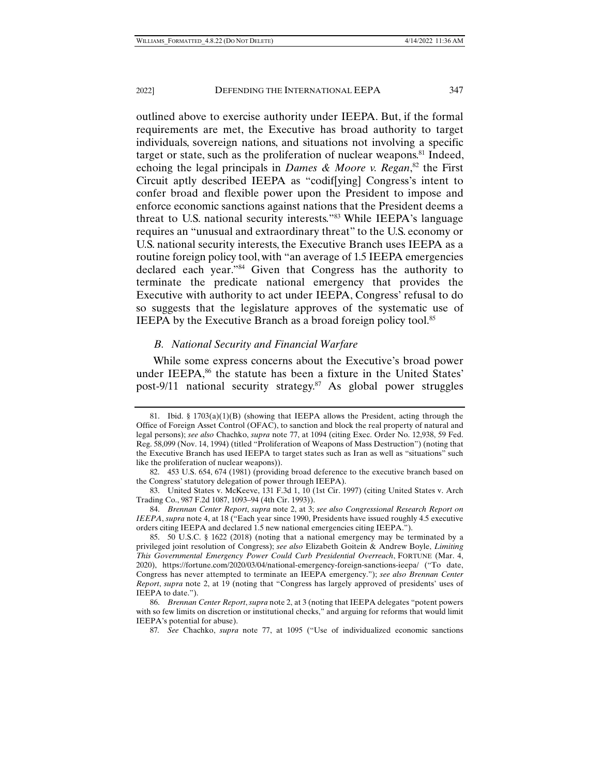outlined above to exercise authority under IEEPA. But, if the formal requirements are met, the Executive has broad authority to target individuals, sovereign nations, and situations not involving a specific target or state, such as the proliferation of nuclear weapons.81 Indeed, echoing the legal principals in *Dames & Moore v. Regan*,<sup>82</sup> the First Circuit aptly described IEEPA as "codif[ying] Congress's intent to confer broad and flexible power upon the President to impose and enforce economic sanctions against nations that the President deems a threat to U.S. national security interests."83 While IEEPA's language requires an "unusual and extraordinary threat" to the U.S. economy or U.S. national security interests, the Executive Branch uses IEEPA as a routine foreign policy tool, with "an average of 1.5 IEEPA emergencies declared each year."84 Given that Congress has the authority to terminate the predicate national emergency that provides the Executive with authority to act under IEEPA, Congress' refusal to do so suggests that the legislature approves of the systematic use of IEEPA by the Executive Branch as a broad foreign policy tool.<sup>85</sup>

# *B. National Security and Financial Warfare*

While some express concerns about the Executive's broad power under IEEPA,<sup>86</sup> the statute has been a fixture in the United States' post-9/11 national security strategy.87 As global power struggles

<sup>81.</sup> Ibid. §  $1703(a)(1)(B)$  (showing that IEEPA allows the President, acting through the Office of Foreign Asset Control (OFAC), to sanction and block the real property of natural and legal persons); *see also* Chachko, *supra* note 77, at 1094 (citing Exec. Order No. 12,938, 59 Fed. Reg. 58,099 (Nov. 14, 1994) (titled "Proliferation of Weapons of Mass Destruction") (noting that the Executive Branch has used IEEPA to target states such as Iran as well as "situations" such like the proliferation of nuclear weapons)).

 <sup>82. 453</sup> U.S. 654, 674 (1981) (providing broad deference to the executive branch based on the Congress' statutory delegation of power through IEEPA).

 <sup>83.</sup> United States v. McKeeve, 131 F.3d 1, 10 (1st Cir. 1997) (citing United States v. Arch Trading Co., 987 F.2d 1087, 1093–94 (4th Cir. 1993)).

 <sup>84.</sup> *Brennan Center Report*, *supra* note 2, at 3; *see also Congressional Research Report on IEEPA*, *supra* note 4, at 18 ("Each year since 1990, Presidents have issued roughly 4.5 executive orders citing IEEPA and declared 1.5 new national emergencies citing IEEPA.").

 <sup>85. 50</sup> U.S.C. § 1622 (2018) (noting that a national emergency may be terminated by a privileged joint resolution of Congress); *see also* Elizabeth Goitein & Andrew Boyle, *Limiting This Governmental Emergency Power Could Curb Presidential Overreach*, FORTUNE (Mar. 4, 2020), https://fortune.com/2020/03/04/national-emergency-foreign-sanctions-ieepa/ ("To date, Congress has never attempted to terminate an IEEPA emergency."); *see also Brennan Center Report*, *supra* note 2, at 19 (noting that "Congress has largely approved of presidents' uses of IEEPA to date.").

 <sup>86.</sup> *Brennan Center Report*, *supra* note 2, at 3 (noting that IEEPA delegates "potent powers with so few limits on discretion or institutional checks," and arguing for reforms that would limit IEEPA's potential for abuse).

<sup>87</sup>*. See* Chachko, *supra* note 77, at 1095 ("Use of individualized economic sanctions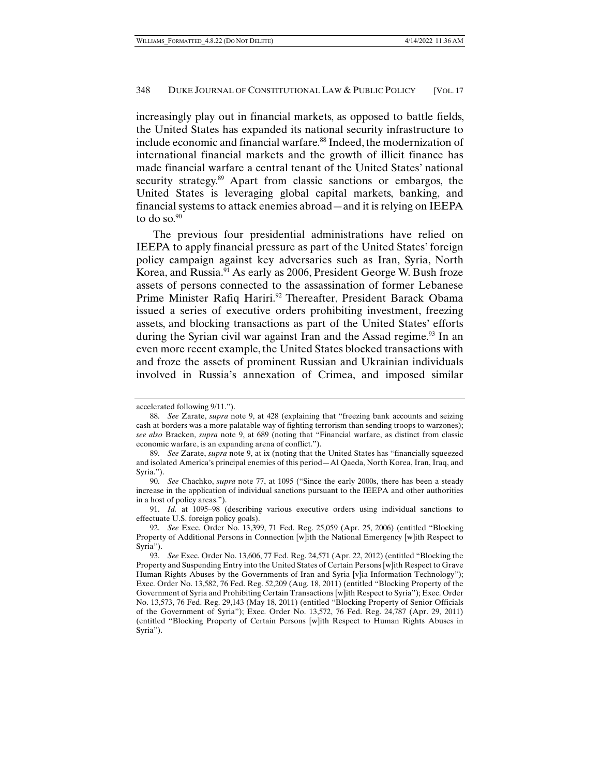increasingly play out in financial markets, as opposed to battle fields, the United States has expanded its national security infrastructure to include economic and financial warfare.<sup>88</sup> Indeed, the modernization of international financial markets and the growth of illicit finance has made financial warfare a central tenant of the United States' national security strategy.<sup>89</sup> Apart from classic sanctions or embargos, the United States is leveraging global capital markets, banking, and financial systems to attack enemies abroad—and it is relying on IEEPA to do so.<sup>90</sup>

The previous four presidential administrations have relied on IEEPA to apply financial pressure as part of the United States' foreign policy campaign against key adversaries such as Iran, Syria, North Korea, and Russia.<sup>91</sup> As early as 2006, President George W. Bush froze assets of persons connected to the assassination of former Lebanese Prime Minister Rafiq Hariri.<sup>92</sup> Thereafter, President Barack Obama issued a series of executive orders prohibiting investment, freezing assets, and blocking transactions as part of the United States' efforts during the Syrian civil war against Iran and the Assad regime.<sup>93</sup> In an even more recent example, the United States blocked transactions with and froze the assets of prominent Russian and Ukrainian individuals involved in Russia's annexation of Crimea, and imposed similar

accelerated following 9/11.").

 <sup>88.</sup> *See* Zarate, *supra* note 9, at 428 (explaining that "freezing bank accounts and seizing cash at borders was a more palatable way of fighting terrorism than sending troops to warzones); *see also* Bracken, *supra* note 9, at 689 (noting that "Financial warfare, as distinct from classic economic warfare, is an expanding arena of conflict.").

 <sup>89.</sup> *See* Zarate, *supra* note 9, at ix (noting that the United States has "financially squeezed and isolated America's principal enemies of this period—Al Qaeda, North Korea, Iran, Iraq, and Syria.").

 <sup>90.</sup> *See* Chachko, *supra* note 77, at 1095 ("Since the early 2000s, there has been a steady increase in the application of individual sanctions pursuant to the IEEPA and other authorities in a host of policy areas.").

 <sup>91.</sup> *Id.* at 1095–98 (describing various executive orders using individual sanctions to effectuate U.S. foreign policy goals).

 <sup>92.</sup> *See* Exec. Order No. 13,399, 71 Fed. Reg. 25,059 (Apr. 25, 2006) (entitled "Blocking Property of Additional Persons in Connection [w]ith the National Emergency [w]ith Respect to Syria").

 <sup>93.</sup> *See* Exec. Order No. 13,606, 77 Fed. Reg. 24,571 (Apr. 22, 2012) (entitled "Blocking the Property and Suspending Entry into the United States of Certain Persons [w]ith Respect to Grave Human Rights Abuses by the Governments of Iran and Syria [v]ia Information Technology"); Exec. Order No. 13,582, 76 Fed. Reg. 52,209 (Aug. 18, 2011) (entitled "Blocking Property of the Government of Syria and Prohibiting Certain Transactions [w]ith Respect to Syria"); Exec. Order No. 13,573, 76 Fed. Reg. 29,143 (May 18, 2011) (entitled "Blocking Property of Senior Officials of the Government of Syria"); Exec. Order No. 13,572, 76 Fed. Reg. 24,787 (Apr. 29, 2011) (entitled "Blocking Property of Certain Persons [w]ith Respect to Human Rights Abuses in Syria").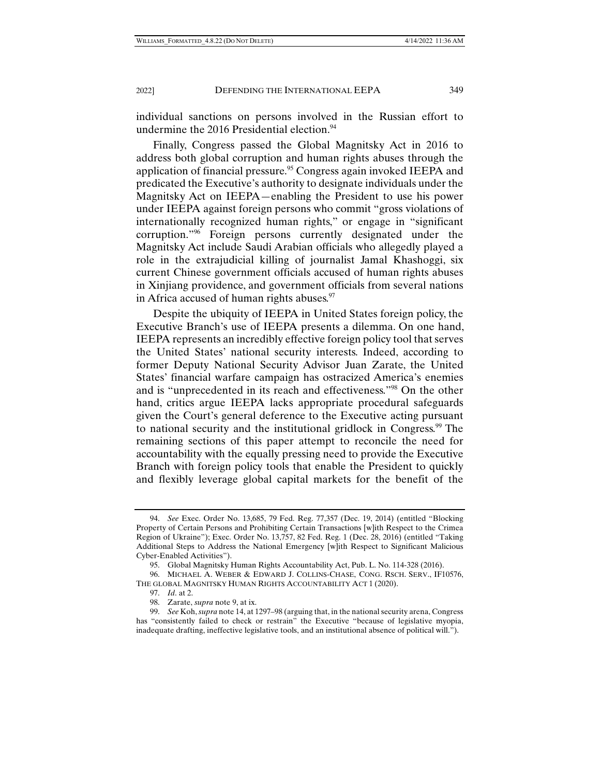individual sanctions on persons involved in the Russian effort to undermine the 2016 Presidential election.<sup>94</sup>

Finally, Congress passed the Global Magnitsky Act in 2016 to address both global corruption and human rights abuses through the application of financial pressure.95 Congress again invoked IEEPA and predicated the Executive's authority to designate individuals under the Magnitsky Act on IEEPA—enabling the President to use his power under IEEPA against foreign persons who commit "gross violations of internationally recognized human rights," or engage in "significant corruption."96 Foreign persons currently designated under the Magnitsky Act include Saudi Arabian officials who allegedly played a role in the extrajudicial killing of journalist Jamal Khashoggi, six current Chinese government officials accused of human rights abuses in Xinjiang providence, and government officials from several nations in Africa accused of human rights abuses.<sup>97</sup>

Despite the ubiquity of IEEPA in United States foreign policy, the Executive Branch's use of IEEPA presents a dilemma. On one hand, IEEPA represents an incredibly effective foreign policy tool that serves the United States' national security interests. Indeed, according to former Deputy National Security Advisor Juan Zarate, the United States' financial warfare campaign has ostracized America's enemies and is "unprecedented in its reach and effectiveness."98 On the other hand, critics argue IEEPA lacks appropriate procedural safeguards given the Court's general deference to the Executive acting pursuant to national security and the institutional gridlock in Congress.<sup>99</sup> The remaining sections of this paper attempt to reconcile the need for accountability with the equally pressing need to provide the Executive Branch with foreign policy tools that enable the President to quickly and flexibly leverage global capital markets for the benefit of the

 <sup>94.</sup> *See* Exec. Order No. 13,685, 79 Fed. Reg. 77,357 (Dec. 19, 2014) (entitled "Blocking Property of Certain Persons and Prohibiting Certain Transactions [w]ith Respect to the Crimea Region of Ukraine"); Exec. Order No. 13,757, 82 Fed. Reg. 1 (Dec. 28, 2016) (entitled "Taking Additional Steps to Address the National Emergency [w]ith Respect to Significant Malicious Cyber-Enabled Activities").

 <sup>95.</sup> Global Magnitsky Human Rights Accountability Act, Pub. L. No. 114-328 (2016).

 <sup>96.</sup> MICHAEL A. WEBER & EDWARD J. COLLINS-CHASE, CONG. RSCH. SERV., IF10576, THE GLOBAL MAGNITSKY HUMAN RIGHTS ACCOUNTABILITY ACT 1 (2020).

 <sup>97.</sup> *Id*. at 2.

 <sup>98.</sup> Zarate, *supra* note 9, at ix.

 <sup>99.</sup> *See* Koh, *supra* note 14, at 1297–98 (arguing that, in the national security arena, Congress has "consistently failed to check or restrain" the Executive "because of legislative myopia, inadequate drafting, ineffective legislative tools, and an institutional absence of political will.").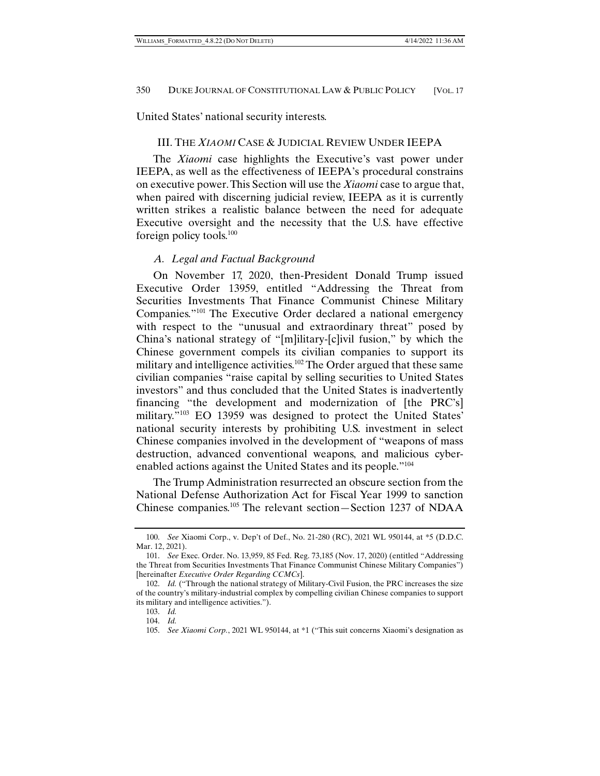United States' national security interests.

## III. THE *XIAOMI* CASE & JUDICIAL REVIEW UNDER IEEPA

The *Xiaomi* case highlights the Executive's vast power under IEEPA, as well as the effectiveness of IEEPA's procedural constrains on executive power. This Section will use the *Xiaomi* case to argue that, when paired with discerning judicial review, IEEPA as it is currently written strikes a realistic balance between the need for adequate Executive oversight and the necessity that the U.S. have effective foreign policy tools.100

## *A. Legal and Factual Background*

On November 17, 2020, then-President Donald Trump issued Executive Order 13959, entitled "Addressing the Threat from Securities Investments That Finance Communist Chinese Military Companies."101 The Executive Order declared a national emergency with respect to the "unusual and extraordinary threat" posed by China's national strategy of "[m]ilitary-[c]ivil fusion," by which the Chinese government compels its civilian companies to support its military and intelligence activities.<sup>102</sup> The Order argued that these same civilian companies "raise capital by selling securities to United States investors" and thus concluded that the United States is inadvertently financing "the development and modernization of [the PRC's] military."103 EO 13959 was designed to protect the United States' national security interests by prohibiting U.S. investment in select Chinese companies involved in the development of "weapons of mass destruction, advanced conventional weapons, and malicious cyberenabled actions against the United States and its people."104

The Trump Administration resurrected an obscure section from the National Defense Authorization Act for Fiscal Year 1999 to sanction Chinese companies.105 The relevant section—Section 1237 of NDAA

 <sup>100.</sup> *See* Xiaomi Corp., v. Dep't of Def., No. 21-280 (RC), 2021 WL 950144, at \*5 (D.D.C. Mar. 12, 2021).

 <sup>101.</sup> *See* Exec. Order. No. 13,959, 85 Fed. Reg. 73,185 (Nov. 17, 2020) (entitled "Addressing the Threat from Securities Investments That Finance Communist Chinese Military Companies") [hereinafter *Executive Order Regarding CCMCs*].

 <sup>102.</sup> *Id.* ("Through the national strategy of Military-Civil Fusion, the PRC increases the size of the country's military-industrial complex by compelling civilian Chinese companies to support its military and intelligence activities.").

 <sup>103.</sup> *Id.* 104. *Id.* 

 <sup>105.</sup> *See Xiaomi Corp.*, 2021 WL 950144, at \*1 ("This suit concerns Xiaomi's designation as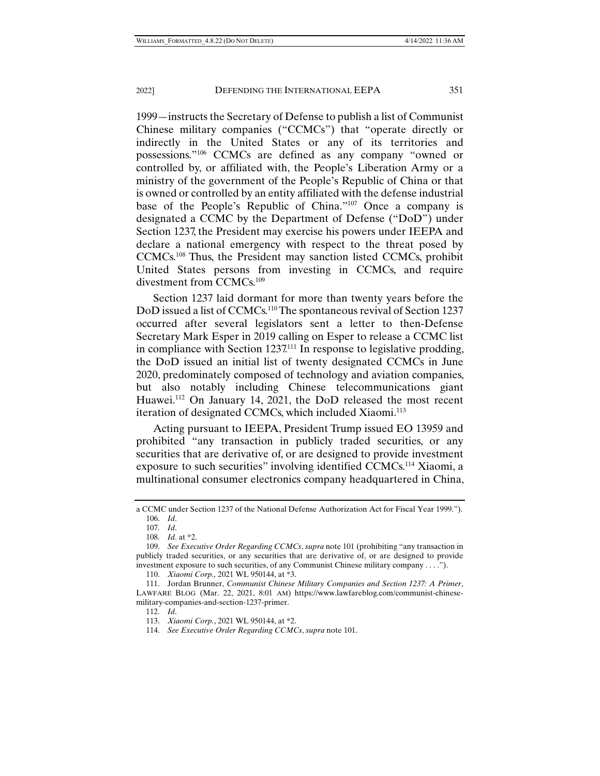1999—instructs the Secretary of Defense to publish a list of Communist Chinese military companies ("CCMCs") that "operate directly or indirectly in the United States or any of its territories and possessions."106 CCMCs are defined as any company "owned or controlled by, or affiliated with, the People's Liberation Army or a ministry of the government of the People's Republic of China or that is owned or controlled by an entity affiliated with the defense industrial base of the People's Republic of China."107 Once a company is designated a CCMC by the Department of Defense ("DoD") under Section 1237, the President may exercise his powers under IEEPA and declare a national emergency with respect to the threat posed by CCMCs.108 Thus, the President may sanction listed CCMCs, prohibit United States persons from investing in CCMCs, and require divestment from CCMCs.109

Section 1237 laid dormant for more than twenty years before the DoD issued a list of CCMCs.<sup>110</sup> The spontaneous revival of Section 1237 occurred after several legislators sent a letter to then-Defense Secretary Mark Esper in 2019 calling on Esper to release a CCMC list in compliance with Section  $1237<sup>111</sup>$  In response to legislative prodding, the DoD issued an initial list of twenty designated CCMCs in June 2020, predominately composed of technology and aviation companies, but also notably including Chinese telecommunications giant Huawei.112 On January 14, 2021, the DoD released the most recent iteration of designated CCMCs, which included Xiaomi.<sup>113</sup>

Acting pursuant to IEEPA, President Trump issued EO 13959 and prohibited "any transaction in publicly traded securities, or any securities that are derivative of, or are designed to provide investment exposure to such securities" involving identified CCMCs.<sup>114</sup> Xiaomi, a multinational consumer electronics company headquartered in China,

a CCMC under Section 1237 of the National Defense Authorization Act for Fiscal Year 1999."). 106. *Id*.

 <sup>107.</sup> *Id*.

 <sup>108.</sup> *Id*. at \*2.

 <sup>109.</sup> *See Executive Order Regarding CCMCs*, *supra* note 101 (prohibiting "any transaction in publicly traded securities, or any securities that are derivative of, or are designed to provide investment exposure to such securities, of any Communist Chinese military company . . . .").

 <sup>110.</sup> *Xiaomi Corp.,* 2021 WL 950144, at \*3.

 <sup>111.</sup> Jordan Brunner, *Communist Chinese Military Companies and Section 1237: A Primer*, LAWFARE BLOG (Mar. 22, 2021, 8:01 AM) https://www.lawfareblog.com/communist-chinesemilitary-companies-and-section-1237-primer.

 <sup>112.</sup> *Id*.

 <sup>113.</sup> *Xiaomi Corp.*, 2021 WL 950144, at \*2.

 <sup>114.</sup> *See Executive Order Regarding CCMCs*, *supra* note 101.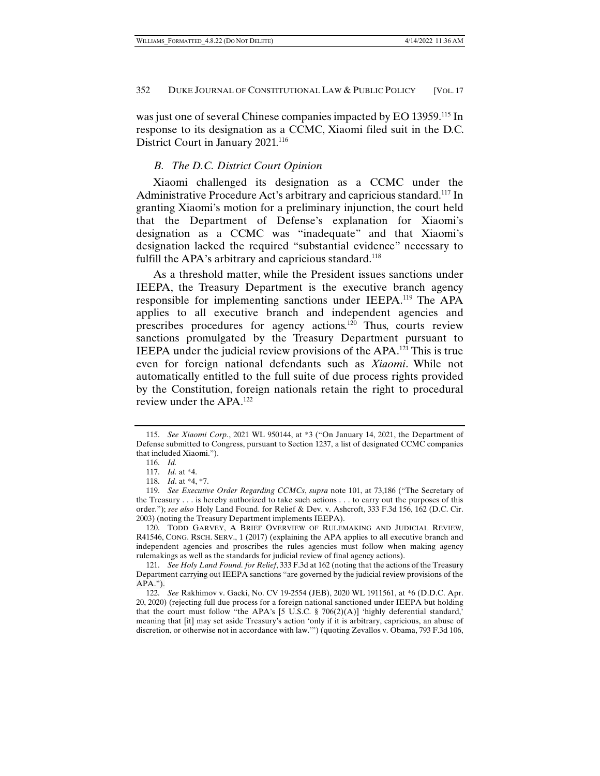was just one of several Chinese companies impacted by EO 13959.<sup>115</sup> In response to its designation as a CCMC, Xiaomi filed suit in the D.C. District Court in January 2021.116

# *B. The D.C. District Court Opinion*

Xiaomi challenged its designation as a CCMC under the Administrative Procedure Act's arbitrary and capricious standard.117 In granting Xiaomi's motion for a preliminary injunction, the court held that the Department of Defense's explanation for Xiaomi's designation as a CCMC was "inadequate" and that Xiaomi's designation lacked the required "substantial evidence" necessary to fulfill the APA's arbitrary and capricious standard.<sup>118</sup>

As a threshold matter, while the President issues sanctions under IEEPA, the Treasury Department is the executive branch agency responsible for implementing sanctions under IEEPA.119 The APA applies to all executive branch and independent agencies and prescribes procedures for agency actions.120 Thus, courts review sanctions promulgated by the Treasury Department pursuant to IEEPA under the judicial review provisions of the APA.121 This is true even for foreign national defendants such as *Xiaomi*. While not automatically entitled to the full suite of due process rights provided by the Constitution, foreign nationals retain the right to procedural review under the APA.122

 120. TODD GARVEY, A BRIEF OVERVIEW OF RULEMAKING AND JUDICIAL REVIEW, R41546, CONG. RSCH. SERV., 1 (2017) (explaining the APA applies to all executive branch and independent agencies and proscribes the rules agencies must follow when making agency rulemakings as well as the standards for judicial review of final agency actions).

 <sup>115.</sup> *See Xiaomi Corp.*, 2021 WL 950144, at \*3 ("On January 14, 2021, the Department of Defense submitted to Congress, pursuant to Section 1237, a list of designated CCMC companies that included Xiaomi.").

 <sup>116.</sup> *Id.*

 <sup>117.</sup> *Id.* at \*4.

 <sup>118.</sup> *Id*. at \*4, \*7.

 <sup>119.</sup> *See Executive Order Regarding CCMCs*, *supra* note 101, at 73,186 ("The Secretary of the Treasury . . . is hereby authorized to take such actions . . . to carry out the purposes of this order."); *see also* Holy Land Found. for Relief & Dev. v. Ashcroft, 333 F.3d 156, 162 (D.C. Cir. 2003) (noting the Treasury Department implements IEEPA).

 <sup>121.</sup> *See Holy Land Found. for Relief*, 333 F.3d at 162 (noting that the actions of the Treasury Department carrying out IEEPA sanctions "are governed by the judicial review provisions of the APA.").

 <sup>122.</sup> *See* Rakhimov v. Gacki, No. CV 19-2554 (JEB), 2020 WL 1911561, at \*6 (D.D.C. Apr. 20, 2020) (rejecting full due process for a foreign national sanctioned under IEEPA but holding that the court must follow "the APA's [5 U.S.C. § 706(2)(A)] 'highly deferential standard,' meaning that [it] may set aside Treasury's action 'only if it is arbitrary, capricious, an abuse of discretion, or otherwise not in accordance with law.'") (quoting Zevallos v. Obama, 793 F.3d 106,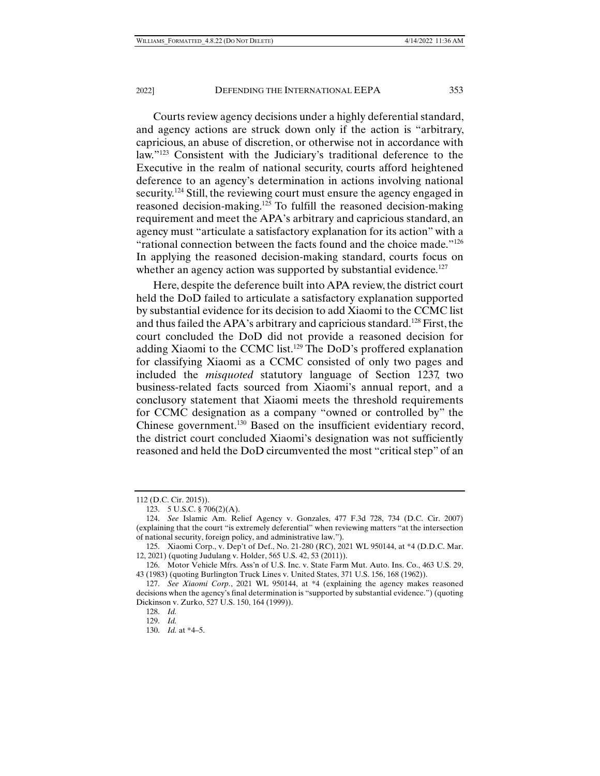Courts review agency decisions under a highly deferential standard, and agency actions are struck down only if the action is "arbitrary, capricious, an abuse of discretion, or otherwise not in accordance with law."123 Consistent with the Judiciary's traditional deference to the Executive in the realm of national security, courts afford heightened deference to an agency's determination in actions involving national security.124 Still, the reviewing court must ensure the agency engaged in reasoned decision-making.<sup>125</sup> To fulfill the reasoned decision-making requirement and meet the APA's arbitrary and capricious standard, an agency must "articulate a satisfactory explanation for its action" with a "rational connection between the facts found and the choice made."126 In applying the reasoned decision-making standard, courts focus on whether an agency action was supported by substantial evidence.<sup>127</sup>

Here, despite the deference built into APA review, the district court held the DoD failed to articulate a satisfactory explanation supported by substantial evidence for its decision to add Xiaomi to the CCMC list and thus failed the APA's arbitrary and capricious standard.128 First, the court concluded the DoD did not provide a reasoned decision for adding Xiaomi to the CCMC list.129 The DoD's proffered explanation for classifying Xiaomi as a CCMC consisted of only two pages and included the *misquoted* statutory language of Section 1237, two business-related facts sourced from Xiaomi's annual report, and a conclusory statement that Xiaomi meets the threshold requirements for CCMC designation as a company "owned or controlled by" the Chinese government.130 Based on the insufficient evidentiary record, the district court concluded Xiaomi's designation was not sufficiently reasoned and held the DoD circumvented the most "critical step" of an

<sup>112 (</sup>D.C. Cir. 2015)).

 <sup>123. 5</sup> U.S.C. § 706(2)(A).

 <sup>124.</sup> *See* Islamic Am. Relief Agency v. Gonzales, 477 F.3d 728, 734 (D.C. Cir. 2007) (explaining that the court "is extremely deferential" when reviewing matters "at the intersection of national security, foreign policy, and administrative law.").

 <sup>125.</sup> Xiaomi Corp., v. Dep't of Def., No. 21-280 (RC), 2021 WL 950144, at \*4 (D.D.C. Mar. 12, 2021) (quoting Judulang v. Holder, 565 U.S. 42, 53 (2011)).

 <sup>126.</sup> Motor Vehicle Mfrs. Ass'n of U.S. Inc. v. State Farm Mut. Auto. Ins. Co., 463 U.S. 29, 43 (1983) (quoting Burlington Truck Lines v. United States, 371 U.S. 156, 168 (1962)).

 <sup>127.</sup> *See Xiaomi Corp.*, 2021 WL 950144, at \*4 (explaining the agency makes reasoned decisions when the agency's final determination is "supported by substantial evidence.") (quoting Dickinson v. Zurko, 527 U.S. 150, 164 (1999)).

 <sup>128.</sup> *Id.*

 <sup>129.</sup> *Id.*

 <sup>130.</sup> *Id.* at \*4–5.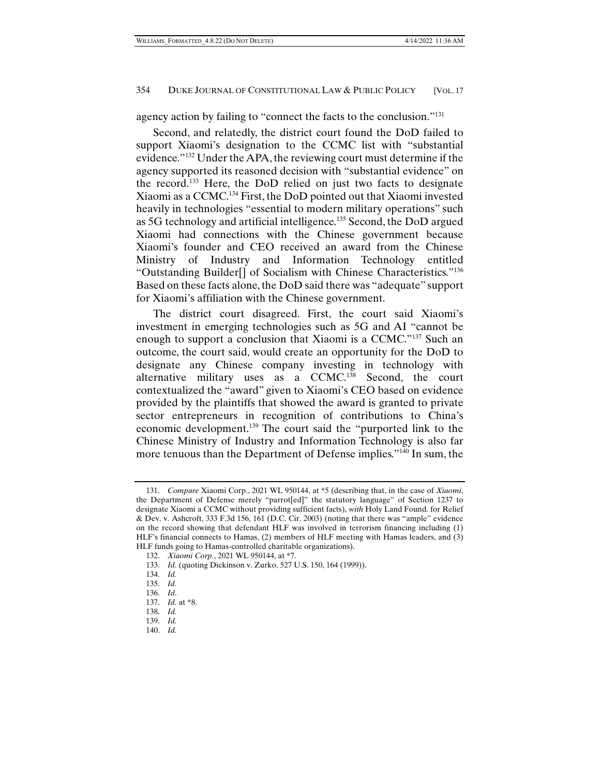agency action by failing to "connect the facts to the conclusion."131

Second, and relatedly, the district court found the DoD failed to support Xiaomi's designation to the CCMC list with "substantial evidence."132 Under the APA, the reviewing court must determine if the agency supported its reasoned decision with "substantial evidence" on the record.133 Here, the DoD relied on just two facts to designate Xiaomi as a CCMC.134 First, the DoD pointed out that Xiaomi invested heavily in technologies "essential to modern military operations" such as 5G technology and artificial intelligence.135 Second, the DoD argued Xiaomi had connections with the Chinese government because Xiaomi's founder and CEO received an award from the Chinese Ministry of Industry and Information Technology entitled "Outstanding Builder[] of Socialism with Chinese Characteristics."136 Based on these facts alone, the DoD said there was "adequate" support for Xiaomi's affiliation with the Chinese government.

The district court disagreed. First, the court said Xiaomi's investment in emerging technologies such as 5G and AI "cannot be enough to support a conclusion that Xiaomi is a CCMC."137 Such an outcome, the court said, would create an opportunity for the DoD to designate any Chinese company investing in technology with alternative military uses as a CCMC.<sup>138</sup> Second, the court contextualized the "award" given to Xiaomi's CEO based on evidence provided by the plaintiffs that showed the award is granted to private sector entrepreneurs in recognition of contributions to China's economic development.139 The court said the "purported link to the Chinese Ministry of Industry and Information Technology is also far more tenuous than the Department of Defense implies."140 In sum, the

 <sup>131.</sup> *Compare* Xiaomi Corp., 2021 WL 950144, at \*5 (describing that, in the case of *Xiaomi*, the Department of Defense merely "parrot[ed]" the statutory language" of Section 1237 to designate Xiaomi a CCMC without providing sufficient facts), *with* Holy Land Found. for Relief & Dev. v. Ashcroft, 333 F.3d 156, 161 (D.C. Cir. 2003) (noting that there was "ample" evidence on the record showing that defendant HLF was involved in terrorism financing including (1) HLF's financial connects to Hamas, (2) members of HLF meeting with Hamas leaders, and (3) HLF funds going to Hamas-controlled charitable organizations).

 <sup>132.</sup> *Xiaomi Corp.*, 2021 WL 950144, at \*7.

 <sup>133.</sup> *Id.* (quoting Dickinson v. Zurko, 527 U.S. 150, 164 (1999)).

 <sup>134.</sup> *Id.* 

 <sup>135.</sup> *Id.* 

 <sup>136.</sup> *Id*.

 <sup>137.</sup> *Id.* at \*8.

 <sup>138.</sup> *Id.*

 <sup>139.</sup> *Id.*

 <sup>140.</sup> *Id.*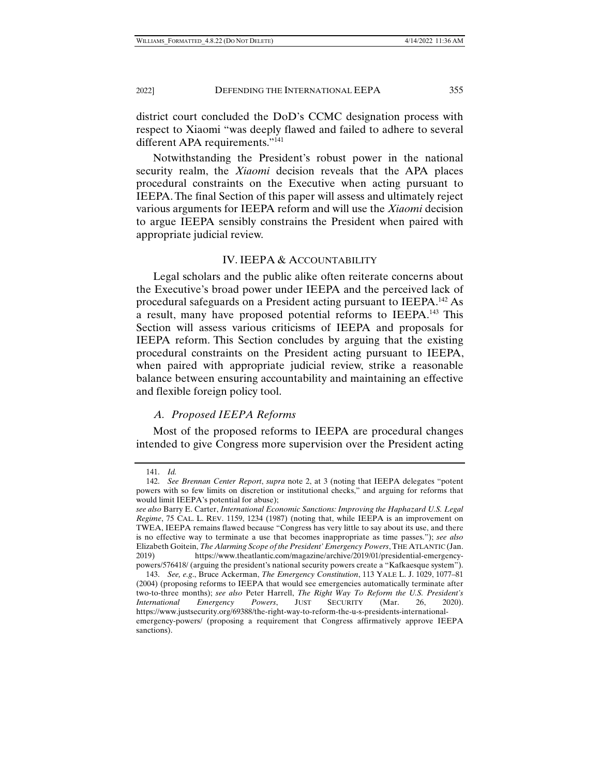district court concluded the DoD's CCMC designation process with respect to Xiaomi "was deeply flawed and failed to adhere to several different APA requirements."<sup>141</sup>

Notwithstanding the President's robust power in the national security realm, the *Xiaomi* decision reveals that the APA places procedural constraints on the Executive when acting pursuant to IEEPA. The final Section of this paper will assess and ultimately reject various arguments for IEEPA reform and will use the *Xiaomi* decision to argue IEEPA sensibly constrains the President when paired with appropriate judicial review.

#### IV. IEEPA & ACCOUNTABILITY

Legal scholars and the public alike often reiterate concerns about the Executive's broad power under IEEPA and the perceived lack of procedural safeguards on a President acting pursuant to IEEPA.142 As a result, many have proposed potential reforms to IEEPA.<sup>143</sup> This Section will assess various criticisms of IEEPA and proposals for IEEPA reform. This Section concludes by arguing that the existing procedural constraints on the President acting pursuant to IEEPA, when paired with appropriate judicial review, strike a reasonable balance between ensuring accountability and maintaining an effective and flexible foreign policy tool.

## *A. Proposed IEEPA Reforms*

Most of the proposed reforms to IEEPA are procedural changes intended to give Congress more supervision over the President acting

 <sup>141.</sup> *Id.*

 <sup>142.</sup> *See Brennan Center Report*, *supra* note 2, at 3 (noting that IEEPA delegates "potent powers with so few limits on discretion or institutional checks," and arguing for reforms that would limit IEEPA's potential for abuse);

*see also* Barry E. Carter, *International Economic Sanctions: Improving the Haphazard U.S. Legal Regime*, 75 CAL. L. REV. 1159, 1234 (1987) (noting that, while IEEPA is an improvement on TWEA, IEEPA remains flawed because "Congress has very little to say about its use, and there is no effective way to terminate a use that becomes inappropriate as time passes."); *see also*  Elizabeth Goitein, *The Alarming Scope of the President' Emergency Powers*, THE ATLANTIC (Jan. 2019) https://www.theatlantic.com/magazine/archive/2019/01/presidential-emergencypowers/576418/ (arguing the president's national security powers create a "Kafkaesque system").

 <sup>143.</sup> *See, e.g*., Bruce Ackerman, *The Emergency Constitution*, 113 YALE L. J. 1029, 1077–81 (2004) (proposing reforms to IEEPA that would see emergencies automatically terminate after two-to-three months); *see also* Peter Harrell, *The Right Way To Reform the U.S. President's International Emergency Powers*, JUST SECURITY (Mar. 26, 2020). https://www.justsecurity.org/69388/the-right-way-to-reform-the-u-s-presidents-internationalemergency-powers/ (proposing a requirement that Congress affirmatively approve IEEPA sanctions).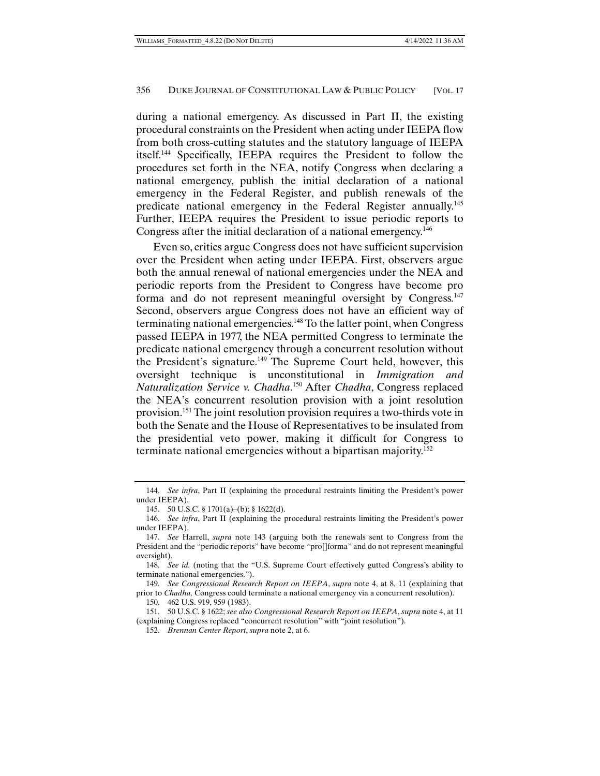during a national emergency. As discussed in Part II, the existing procedural constraints on the President when acting under IEEPA flow from both cross-cutting statutes and the statutory language of IEEPA itself.144 Specifically, IEEPA requires the President to follow the procedures set forth in the NEA, notify Congress when declaring a national emergency, publish the initial declaration of a national emergency in the Federal Register, and publish renewals of the predicate national emergency in the Federal Register annually.145 Further, IEEPA requires the President to issue periodic reports to Congress after the initial declaration of a national emergency.<sup>146</sup>

Even so, critics argue Congress does not have sufficient supervision over the President when acting under IEEPA. First, observers argue both the annual renewal of national emergencies under the NEA and periodic reports from the President to Congress have become pro forma and do not represent meaningful oversight by Congress.<sup>147</sup> Second, observers argue Congress does not have an efficient way of terminating national emergencies.148 To the latter point, when Congress passed IEEPA in 1977, the NEA permitted Congress to terminate the predicate national emergency through a concurrent resolution without the President's signature.<sup>149</sup> The Supreme Court held, however, this oversight technique is unconstitutional in *Immigration and Naturalization Service v. Chadha*. 150 After *Chadha*, Congress replaced the NEA's concurrent resolution provision with a joint resolution provision.151 The joint resolution provision requires a two-thirds vote in both the Senate and the House of Representatives to be insulated from the presidential veto power, making it difficult for Congress to terminate national emergencies without a bipartisan majority.152

 149. *See Congressional Research Report on IEEPA*, *supra* note 4, at 8, 11 (explaining that prior to *Chadha,* Congress could terminate a national emergency via a concurrent resolution).

 <sup>144.</sup> *See infra*, Part II (explaining the procedural restraints limiting the President's power under IEEPA).

 <sup>145. 50</sup> U.S.C. § 1701(a)–(b); § 1622(d).

 <sup>146.</sup> *See infra*, Part II (explaining the procedural restraints limiting the President's power under IEEPA).

 <sup>147.</sup> *See* Harrell, *supra* note 143 (arguing both the renewals sent to Congress from the President and the "periodic reports" have become "pro[]forma" and do not represent meaningful oversight).

 <sup>148.</sup> *See id.* (noting that the "U.S. Supreme Court effectively gutted Congress's ability to terminate national emergencies.").

 <sup>150. 462</sup> U.S. 919, 959 (1983).

 <sup>151. 50</sup> U.S.C. § 1622; *see also Congressional Research Report on IEEPA*, *supra* note 4, at 11 (explaining Congress replaced "concurrent resolution" with "joint resolution").

 <sup>152.</sup> *Brennan Center Report*, *supra* note 2, at 6.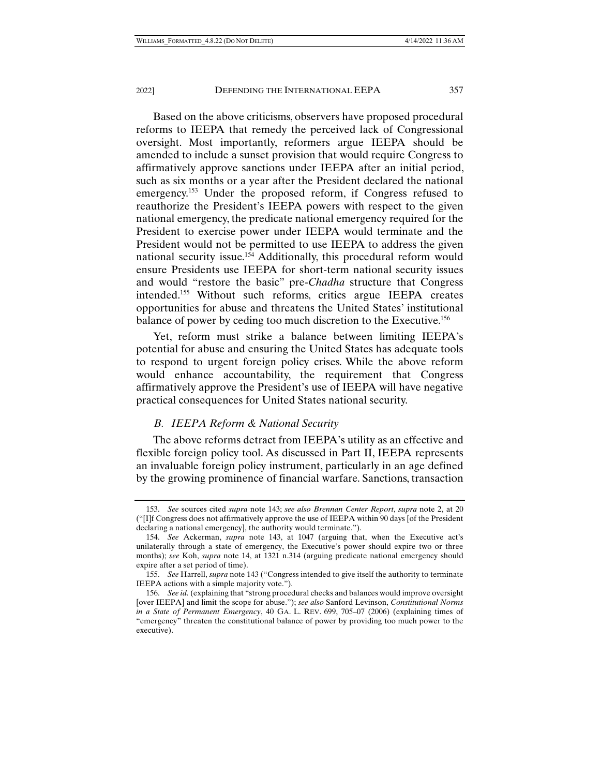Based on the above criticisms, observers have proposed procedural reforms to IEEPA that remedy the perceived lack of Congressional oversight. Most importantly, reformers argue IEEPA should be amended to include a sunset provision that would require Congress to affirmatively approve sanctions under IEEPA after an initial period, such as six months or a year after the President declared the national emergency.<sup>153</sup> Under the proposed reform, if Congress refused to reauthorize the President's IEEPA powers with respect to the given national emergency, the predicate national emergency required for the President to exercise power under IEEPA would terminate and the President would not be permitted to use IEEPA to address the given national security issue.154 Additionally, this procedural reform would ensure Presidents use IEEPA for short-term national security issues and would "restore the basic" pre-*Chadha* structure that Congress intended.155 Without such reforms, critics argue IEEPA creates opportunities for abuse and threatens the United States' institutional balance of power by ceding too much discretion to the Executive.<sup>156</sup>

Yet, reform must strike a balance between limiting IEEPA's potential for abuse and ensuring the United States has adequate tools to respond to urgent foreign policy crises. While the above reform would enhance accountability, the requirement that Congress affirmatively approve the President's use of IEEPA will have negative practical consequences for United States national security.

#### *B. IEEPA Reform & National Security*

The above reforms detract from IEEPA's utility as an effective and flexible foreign policy tool. As discussed in Part II, IEEPA represents an invaluable foreign policy instrument, particularly in an age defined by the growing prominence of financial warfare. Sanctions, transaction

 <sup>153.</sup> *See* sources cited *supra* note 143; *see also Brennan Center Report*, *supra* note 2, at 20 ("[I]f Congress does not affirmatively approve the use of IEEPA within 90 days [of the President declaring a national emergency], the authority would terminate.").

 <sup>154.</sup> *See* Ackerman, *supra* note 143, at 1047 (arguing that, when the Executive act's unilaterally through a state of emergency, the Executive's power should expire two or three months); *see* Koh, *supra* note 14, at 1321 n.314 (arguing predicate national emergency should expire after a set period of time).

 <sup>155.</sup> *See* Harrell, *supra* note 143 ("Congress intended to give itself the authority to terminate IEEPA actions with a simple majority vote.").

 <sup>156.</sup> *See id.* (explaining that "strong procedural checks and balances would improve oversight [over IEEPA] and limit the scope for abuse."); *see also* Sanford Levinson, *Constitutional Norms in a State of Permanent Emergency*, 40 GA. L. REV. 699, 705–07 (2006) (explaining times of "emergency" threaten the constitutional balance of power by providing too much power to the executive).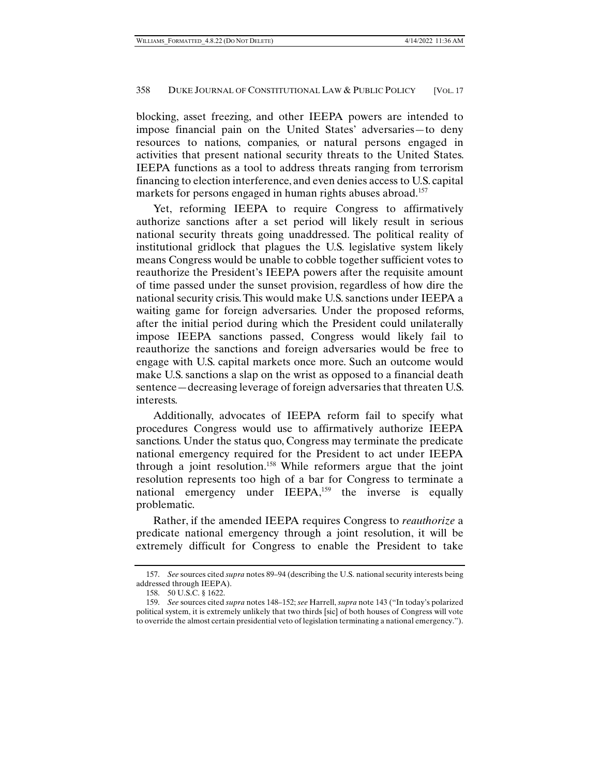blocking, asset freezing, and other IEEPA powers are intended to impose financial pain on the United States' adversaries—to deny resources to nations, companies, or natural persons engaged in activities that present national security threats to the United States. IEEPA functions as a tool to address threats ranging from terrorism financing to election interference, and even denies access to U.S. capital markets for persons engaged in human rights abuses abroad.<sup>157</sup>

Yet, reforming IEEPA to require Congress to affirmatively authorize sanctions after a set period will likely result in serious national security threats going unaddressed. The political reality of institutional gridlock that plagues the U.S. legislative system likely means Congress would be unable to cobble together sufficient votes to reauthorize the President's IEEPA powers after the requisite amount of time passed under the sunset provision, regardless of how dire the national security crisis. This would make U.S. sanctions under IEEPA a waiting game for foreign adversaries. Under the proposed reforms, after the initial period during which the President could unilaterally impose IEEPA sanctions passed, Congress would likely fail to reauthorize the sanctions and foreign adversaries would be free to engage with U.S. capital markets once more. Such an outcome would make U.S. sanctions a slap on the wrist as opposed to a financial death sentence—decreasing leverage of foreign adversaries that threaten U.S. interests.

Additionally, advocates of IEEPA reform fail to specify what procedures Congress would use to affirmatively authorize IEEPA sanctions. Under the status quo, Congress may terminate the predicate national emergency required for the President to act under IEEPA through a joint resolution.158 While reformers argue that the joint resolution represents too high of a bar for Congress to terminate a national emergency under IEEPA,<sup>159</sup> the inverse is equally problematic.

Rather, if the amended IEEPA requires Congress to *reauthorize* a predicate national emergency through a joint resolution, it will be extremely difficult for Congress to enable the President to take

 <sup>157.</sup> *See* sources cited *supra* notes 89–94 (describing the U.S. national security interests being addressed through IEEPA).

 <sup>158. 50</sup> U.S.C. § 1622.

 <sup>159.</sup> *See* sources cited *supra* notes 148–152; *see* Harrell, *supra* note 143 ("In today's polarized political system, it is extremely unlikely that two thirds [sic] of both houses of Congress will vote to override the almost certain presidential veto of legislation terminating a national emergency.").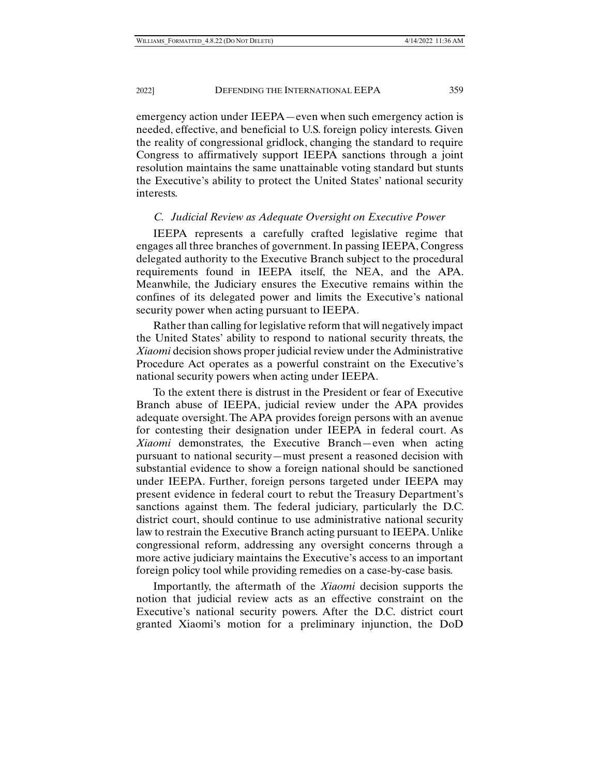emergency action under IEEPA—even when such emergency action is needed, effective, and beneficial to U.S. foreign policy interests. Given the reality of congressional gridlock, changing the standard to require Congress to affirmatively support IEEPA sanctions through a joint resolution maintains the same unattainable voting standard but stunts the Executive's ability to protect the United States' national security interests.

## *C. Judicial Review as Adequate Oversight on Executive Power*

IEEPA represents a carefully crafted legislative regime that engages all three branches of government. In passing IEEPA, Congress delegated authority to the Executive Branch subject to the procedural requirements found in IEEPA itself, the NEA, and the APA. Meanwhile, the Judiciary ensures the Executive remains within the confines of its delegated power and limits the Executive's national security power when acting pursuant to IEEPA.

Rather than calling for legislative reform that will negatively impact the United States' ability to respond to national security threats, the *Xiaomi* decision shows proper judicial review under the Administrative Procedure Act operates as a powerful constraint on the Executive's national security powers when acting under IEEPA.

To the extent there is distrust in the President or fear of Executive Branch abuse of IEEPA, judicial review under the APA provides adequate oversight. The APA provides foreign persons with an avenue for contesting their designation under IEEPA in federal court. As *Xiaomi* demonstrates, the Executive Branch—even when acting pursuant to national security—must present a reasoned decision with substantial evidence to show a foreign national should be sanctioned under IEEPA. Further, foreign persons targeted under IEEPA may present evidence in federal court to rebut the Treasury Department's sanctions against them. The federal judiciary, particularly the D.C. district court, should continue to use administrative national security law to restrain the Executive Branch acting pursuant to IEEPA. Unlike congressional reform, addressing any oversight concerns through a more active judiciary maintains the Executive's access to an important foreign policy tool while providing remedies on a case-by-case basis.

Importantly, the aftermath of the *Xiaomi* decision supports the notion that judicial review acts as an effective constraint on the Executive's national security powers. After the D.C. district court granted Xiaomi's motion for a preliminary injunction, the DoD